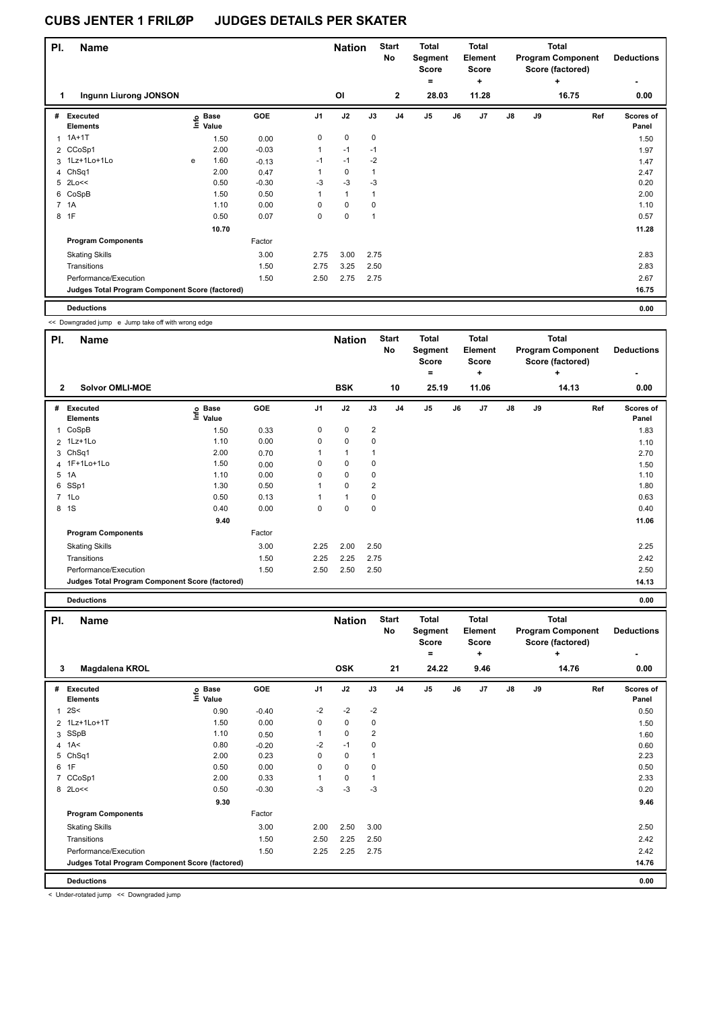| PI. | <b>Name</b>                                     |   |                   |         |                | <b>Nation</b> |                | <b>Start</b><br>No | <b>Total</b><br>Segment<br><b>Score</b> |    | <b>Total</b><br>Element<br><b>Score</b> |    |    | <b>Total</b><br><b>Program Component</b><br>Score (factored) | <b>Deductions</b>  |
|-----|-------------------------------------------------|---|-------------------|---------|----------------|---------------|----------------|--------------------|-----------------------------------------|----|-----------------------------------------|----|----|--------------------------------------------------------------|--------------------|
|     |                                                 |   |                   |         |                |               |                |                    | $=$                                     |    | ٠                                       |    |    | $\ddot{}$                                                    | ٠                  |
|     | Ingunn Liurong JONSON<br>1                      |   |                   |         |                | <b>OI</b>     |                | $\overline{2}$     | 28.03                                   |    | 11.28                                   |    |    | 16.75                                                        | 0.00               |
| #   | Executed<br><b>Elements</b>                     |   | e Base<br>⊆ Value | GOE     | J <sub>1</sub> | J2            | J3             | J <sub>4</sub>     | J <sub>5</sub>                          | J6 | J7                                      | J8 | J9 | Ref                                                          | Scores of<br>Panel |
|     | $1A+1T$                                         |   | 1.50              | 0.00    | $\mathbf 0$    | $\mathbf 0$   | $\mathbf 0$    |                    |                                         |    |                                         |    |    |                                                              | 1.50               |
|     | 2 CCoSp1                                        |   | 2.00              | $-0.03$ | $\mathbf{1}$   | $-1$          | $-1$           |                    |                                         |    |                                         |    |    |                                                              | 1.97               |
|     | 3 1Lz+1Lo+1Lo                                   | e | 1.60              | $-0.13$ | $-1$           | $-1$          | $-2$           |                    |                                         |    |                                         |    |    |                                                              | 1.47               |
|     | 4 ChSq1                                         |   | 2.00              | 0.47    | 1              | $\mathbf 0$   | $\overline{1}$ |                    |                                         |    |                                         |    |    |                                                              | 2.47               |
|     | 5 2Lo<<                                         |   | 0.50              | $-0.30$ | $-3$           | $-3$          | $-3$           |                    |                                         |    |                                         |    |    |                                                              | 0.20               |
|     | 6 CoSpB                                         |   | 1.50              | 0.50    | 1              | $\mathbf{1}$  | 1              |                    |                                         |    |                                         |    |    |                                                              | 2.00               |
|     | 7 1A                                            |   | 1.10              | 0.00    | $\Omega$       | $\mathbf 0$   | 0              |                    |                                         |    |                                         |    |    |                                                              | 1.10               |
| 8   | 1F                                              |   | 0.50              | 0.07    | 0              | 0             | $\overline{1}$ |                    |                                         |    |                                         |    |    |                                                              | 0.57               |
|     |                                                 |   | 10.70             |         |                |               |                |                    |                                         |    |                                         |    |    |                                                              | 11.28              |
|     | <b>Program Components</b>                       |   |                   | Factor  |                |               |                |                    |                                         |    |                                         |    |    |                                                              |                    |
|     | <b>Skating Skills</b>                           |   |                   | 3.00    | 2.75           | 3.00          | 2.75           |                    |                                         |    |                                         |    |    |                                                              | 2.83               |
|     | Transitions                                     |   |                   | 1.50    | 2.75           | 3.25          | 2.50           |                    |                                         |    |                                         |    |    |                                                              | 2.83               |
|     | Performance/Execution                           |   |                   | 1.50    | 2.50           | 2.75          | 2.75           |                    |                                         |    |                                         |    |    |                                                              | 2.67               |
|     | Judges Total Program Component Score (factored) |   |                   |         |                |               |                |                    |                                         |    |                                         |    |    |                                                              | 16.75              |
|     | <b>Deductions</b>                               |   |                   |         |                |               |                |                    |                                         |    |                                         |    |    |                                                              | 0.00               |

<< Downgraded jump e Jump take off with wrong edge

| PI.            | Name                                            |                                  |        |                | <b>Nation</b> |                         | <b>Start</b><br>No | Total<br>Segment<br><b>Score</b><br>۰ |    | Total<br>Element<br><b>Score</b><br>÷ |               |    | <b>Total</b><br><b>Program Component</b><br>Score (factored)<br>÷ | <b>Deductions</b>  |
|----------------|-------------------------------------------------|----------------------------------|--------|----------------|---------------|-------------------------|--------------------|---------------------------------------|----|---------------------------------------|---------------|----|-------------------------------------------------------------------|--------------------|
| $\overline{2}$ | <b>Solvor OMLI-MOE</b>                          |                                  |        |                | <b>BSK</b>    |                         | 10                 | 25.19                                 |    | 11.06                                 |               |    | 14.13                                                             | 0.00               |
| #              | Executed<br><b>Elements</b>                     | <b>Base</b><br>e Base<br>≞ Value | GOE    | J <sub>1</sub> | J2            | J3                      | J <sub>4</sub>     | J <sub>5</sub>                        | J6 | J7                                    | $\mathsf{J}8$ | J9 | Ref                                                               | Scores of<br>Panel |
| 1              | CoSpB                                           | 1.50                             | 0.33   | 0              | $\pmb{0}$     | $\overline{\mathbf{c}}$ |                    |                                       |    |                                       |               |    |                                                                   | 1.83               |
|                | 2 1Lz+1Lo                                       | 1.10                             | 0.00   | 0              | $\pmb{0}$     | 0                       |                    |                                       |    |                                       |               |    |                                                                   | 1.10               |
|                | 3 ChSq1                                         | 2.00                             | 0.70   |                | 1             |                         |                    |                                       |    |                                       |               |    |                                                                   | 2.70               |
|                | 4 1F+1Lo+1Lo                                    | 1.50                             | 0.00   | 0              | $\pmb{0}$     | 0                       |                    |                                       |    |                                       |               |    |                                                                   | 1.50               |
| 5              | 1A                                              | 1.10                             | 0.00   | 0              | $\pmb{0}$     | 0                       |                    |                                       |    |                                       |               |    |                                                                   | 1.10               |
|                | 6 SSp1                                          | 1.30                             | 0.50   |                | $\mathbf 0$   | $\overline{2}$          |                    |                                       |    |                                       |               |    |                                                                   | 1.80               |
| $\overline{7}$ | 1Lo                                             | 0.50                             | 0.13   |                | 1             | 0                       |                    |                                       |    |                                       |               |    |                                                                   | 0.63               |
|                | 8 1 S                                           | 0.40                             | 0.00   | 0              | $\pmb{0}$     | 0                       |                    |                                       |    |                                       |               |    |                                                                   | 0.40               |
|                |                                                 | 9.40                             |        |                |               |                         |                    |                                       |    |                                       |               |    |                                                                   | 11.06              |
|                | <b>Program Components</b>                       |                                  | Factor |                |               |                         |                    |                                       |    |                                       |               |    |                                                                   |                    |
|                | <b>Skating Skills</b>                           |                                  | 3.00   | 2.25           | 2.00          | 2.50                    |                    |                                       |    |                                       |               |    |                                                                   | 2.25               |
|                | Transitions                                     |                                  | 1.50   | 2.25           | 2.25          | 2.75                    |                    |                                       |    |                                       |               |    |                                                                   | 2.42               |
|                | Performance/Execution                           |                                  | 1.50   | 2.50           | 2.50          | 2.50                    |                    |                                       |    |                                       |               |    |                                                                   | 2.50               |
|                | Judges Total Program Component Score (factored) |                                  |        |                |               |                         |                    |                                       |    |                                       |               |    |                                                                   | 14.13              |
|                | <b>Deductions</b>                               |                                  |        |                |               |                         |                    |                                       |    |                                       |               |    |                                                                   | 0.00               |

| PI.            | <b>Name</b>                                     |                   |         |                |             | <b>Nation</b> | <b>Start</b><br><b>No</b> | <b>Total</b><br>Segment<br><b>Score</b><br>$=$ |    | <b>Total</b><br>Element<br><b>Score</b><br>٠ |               |    | <b>Total</b><br><b>Program Component</b><br>Score (factored)<br>÷ | <b>Deductions</b>  |
|----------------|-------------------------------------------------|-------------------|---------|----------------|-------------|---------------|---------------------------|------------------------------------------------|----|----------------------------------------------|---------------|----|-------------------------------------------------------------------|--------------------|
| 3              | Magdalena KROL                                  |                   |         |                | <b>OSK</b>  |               | 21                        | 24.22                                          |    | 9.46                                         |               |    | 14.76                                                             | 0.00               |
| #              | <b>Executed</b><br><b>Elements</b>              | e Base<br>≡ Value | GOE     | J <sub>1</sub> | J2          | J3            | J <sub>4</sub>            | J <sub>5</sub>                                 | J6 | J <sub>7</sub>                               | $\mathsf{J}8$ | J9 | Ref                                                               | Scores of<br>Panel |
| 1              | 2S<                                             | 0.90              | $-0.40$ | $-2$           | $-2$        | $-2$          |                           |                                                |    |                                              |               |    |                                                                   | 0.50               |
|                | 2 1Lz+1Lo+1T                                    | 1.50              | 0.00    | 0              | $\mathbf 0$ | 0             |                           |                                                |    |                                              |               |    |                                                                   | 1.50               |
| 3              | SSpB                                            | 1.10              | 0.50    |                | 0           | 2             |                           |                                                |    |                                              |               |    |                                                                   | 1.60               |
|                | 4 $1A<$                                         | 0.80              | $-0.20$ | $-2$           | $-1$        | 0             |                           |                                                |    |                                              |               |    |                                                                   | 0.60               |
| 5              | ChSq1                                           | 2.00              | 0.23    | 0              | 0           |               |                           |                                                |    |                                              |               |    |                                                                   | 2.23               |
|                | 6 1F                                            | 0.50              | 0.00    | 0              | $\mathbf 0$ | 0             |                           |                                                |    |                                              |               |    |                                                                   | 0.50               |
| $\overline{7}$ | CCoSp1                                          | 2.00              | 0.33    |                | $\mathbf 0$ |               |                           |                                                |    |                                              |               |    |                                                                   | 2.33               |
|                | 8 2Lo<<                                         | 0.50              | $-0.30$ | -3             | $-3$        | -3            |                           |                                                |    |                                              |               |    |                                                                   | 0.20               |
|                |                                                 | 9.30              |         |                |             |               |                           |                                                |    |                                              |               |    |                                                                   | 9.46               |
|                | <b>Program Components</b>                       |                   | Factor  |                |             |               |                           |                                                |    |                                              |               |    |                                                                   |                    |
|                | <b>Skating Skills</b>                           |                   | 3.00    | 2.00           | 2.50        | 3.00          |                           |                                                |    |                                              |               |    |                                                                   | 2.50               |
|                | Transitions                                     |                   | 1.50    | 2.50           | 2.25        | 2.50          |                           |                                                |    |                                              |               |    |                                                                   | 2.42               |
|                | Performance/Execution                           |                   | 1.50    | 2.25           | 2.25        | 2.75          |                           |                                                |    |                                              |               |    |                                                                   | 2.42               |
|                | Judges Total Program Component Score (factored) |                   |         |                |             |               |                           |                                                |    |                                              |               |    |                                                                   | 14.76              |
|                | <b>Deductions</b>                               |                   |         |                |             |               |                           |                                                |    |                                              |               |    |                                                                   | 0.00               |

< Under-rotated jump << Downgraded jump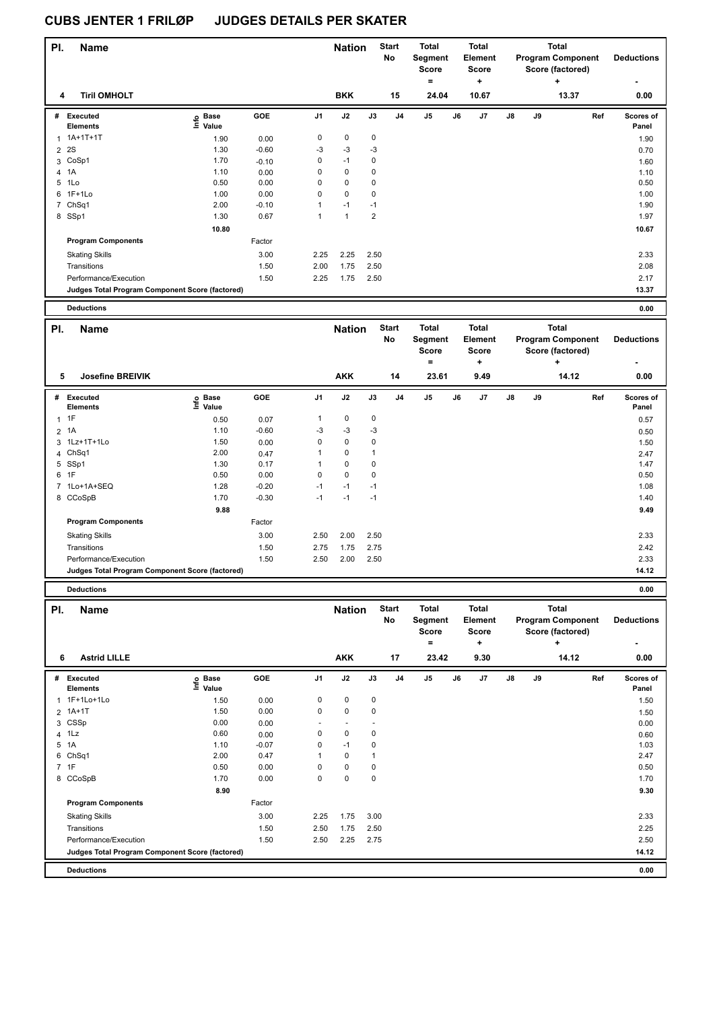| PI.            | <b>Name</b>                                     |                            |         |                | <b>Nation</b> |                | <b>Start</b><br>No | <b>Total</b><br><b>Segment</b><br><b>Score</b><br>۰   | <b>Total</b><br>Element<br><b>Score</b><br>٠           |    |    | <b>Total</b><br><b>Program Component</b><br>Score (factored)<br>٠   | <b>Deductions</b>  |
|----------------|-------------------------------------------------|----------------------------|---------|----------------|---------------|----------------|--------------------|-------------------------------------------------------|--------------------------------------------------------|----|----|---------------------------------------------------------------------|--------------------|
| 4              | <b>Tiril OMHOLT</b>                             |                            |         |                | <b>BKK</b>    |                | 15                 | 24.04                                                 | 10.67                                                  |    |    | 13.37                                                               | 0.00               |
|                |                                                 |                            |         |                |               |                |                    |                                                       |                                                        |    |    |                                                                     |                    |
| #              | Executed<br><b>Elements</b>                     | e Base<br>E Value<br>Value | GOE     | J <sub>1</sub> | J2            | J3             | J <sub>4</sub>     | J <sub>5</sub>                                        | J6<br>J7                                               | J8 | J9 | Ref                                                                 | Scores of<br>Panel |
| 1              | $1A+1T+1T$                                      | 1.90                       | 0.00    | $\pmb{0}$      | $\mathbf 0$   | $\pmb{0}$      |                    |                                                       |                                                        |    |    |                                                                     | 1.90               |
| $\overline{2}$ | 2S                                              | 1.30                       | $-0.60$ | -3             | $-3$          | -3             |                    |                                                       |                                                        |    |    |                                                                     | 0.70               |
| 3              | CoSp1                                           | 1.70                       | $-0.10$ | 0              | $-1$          | 0              |                    |                                                       |                                                        |    |    |                                                                     | 1.60               |
|                | 4 1A                                            | 1.10                       | 0.00    | 0              | $\mathbf 0$   | 0              |                    |                                                       |                                                        |    |    |                                                                     | 1.10               |
| 5              | 1Lo                                             | 0.50                       | 0.00    | 0              | 0             | 0              |                    |                                                       |                                                        |    |    |                                                                     | 0.50               |
| 6              | $1F+1Lo$                                        | 1.00                       | 0.00    | $\mathbf 0$    | $\mathbf 0$   | 0              |                    |                                                       |                                                        |    |    |                                                                     | 1.00               |
| 7              | Ch <sub>Sq1</sub>                               | 2.00                       | $-0.10$ | 1              | $-1$          | $-1$           |                    |                                                       |                                                        |    |    |                                                                     | 1.90               |
|                | 8 SSp1                                          | 1.30                       | 0.67    | $\overline{1}$ | $\mathbf{1}$  | $\overline{2}$ |                    |                                                       |                                                        |    |    |                                                                     | 1.97               |
|                |                                                 | 10.80                      |         |                |               |                |                    |                                                       |                                                        |    |    |                                                                     | 10.67              |
|                | <b>Program Components</b>                       |                            | Factor  |                |               |                |                    |                                                       |                                                        |    |    |                                                                     |                    |
|                | <b>Skating Skills</b>                           |                            | 3.00    | 2.25           | 2.25          | 2.50           |                    |                                                       |                                                        |    |    |                                                                     | 2.33               |
|                | Transitions                                     |                            | 1.50    | 2.00           | 1.75          | 2.50           |                    |                                                       |                                                        |    |    |                                                                     | 2.08               |
|                | Performance/Execution                           |                            | 1.50    | 2.25           | 1.75          | 2.50           |                    |                                                       |                                                        |    |    |                                                                     | 2.17               |
|                | Judges Total Program Component Score (factored) |                            |         |                |               |                |                    |                                                       |                                                        |    |    |                                                                     | 13.37              |
|                | <b>Deductions</b>                               |                            |         |                |               |                |                    |                                                       |                                                        |    |    |                                                                     | 0.00               |
| PI.            | <b>Name</b>                                     |                            |         |                | <b>Nation</b> |                | <b>Start</b><br>No | <b>Total</b><br><b>Segment</b><br><b>Score</b><br>$=$ | <b>Total</b><br>Element<br><b>Score</b><br>$\ddotmark$ |    |    | <b>Total</b><br><b>Program Component</b><br>Score (factored)<br>$+$ | <b>Deductions</b>  |

|   |                                                 |                              |         |                |            |             |                | =              |    | ÷    |               |    | ÷     |     |                    |
|---|-------------------------------------------------|------------------------------|---------|----------------|------------|-------------|----------------|----------------|----|------|---------------|----|-------|-----|--------------------|
| 5 | <b>Josefine BREIVIK</b>                         |                              |         |                | <b>AKK</b> |             | 14             | 23.61          |    | 9.49 |               |    | 14.12 |     | 0.00               |
| # | <b>Executed</b><br>Elements                     | <b>Base</b><br>lnfo<br>Value | GOE     | J <sub>1</sub> | J2         | J3          | J <sub>4</sub> | J <sub>5</sub> | J6 | J7   | $\mathsf{J}8$ | J9 |       | Ref | Scores of<br>Panel |
|   | $1$ 1F                                          | 0.50                         | 0.07    | 1              | 0          | $\mathbf 0$ |                |                |    |      |               |    |       |     | 0.57               |
|   | 2 1A                                            | 1.10                         | $-0.60$ | $-3$           | $-3$       | $-3$        |                |                |    |      |               |    |       |     | 0.50               |
|   | 3 1Lz+1T+1Lo                                    | 1.50                         | 0.00    | 0              | 0          | 0           |                |                |    |      |               |    |       |     | 1.50               |
|   | 4 ChSq1                                         | 2.00                         | 0.47    | 1              | 0          | 1           |                |                |    |      |               |    |       |     | 2.47               |
|   | 5 SSp1                                          | 1.30                         | 0.17    |                | 0          | 0           |                |                |    |      |               |    |       |     | 1.47               |
|   | 6 1F                                            | 0.50                         | 0.00    | $\Omega$       | 0          | 0           |                |                |    |      |               |    |       |     | 0.50               |
|   | 7 1Lo+1A+SEQ                                    | 1.28                         | $-0.20$ | $-1$           | $-1$       | $-1$        |                |                |    |      |               |    |       |     | 1.08               |
|   | 8 CCoSpB                                        | 1.70                         | $-0.30$ | $-1$           | $-1$       | $-1$        |                |                |    |      |               |    |       |     | 1.40               |
|   |                                                 | 9.88                         |         |                |            |             |                |                |    |      |               |    |       |     | 9.49               |
|   | <b>Program Components</b>                       |                              | Factor  |                |            |             |                |                |    |      |               |    |       |     |                    |
|   | <b>Skating Skills</b>                           |                              | 3.00    | 2.50           | 2.00       | 2.50        |                |                |    |      |               |    |       |     | 2.33               |
|   | Transitions                                     |                              | 1.50    | 2.75           | 1.75       | 2.75        |                |                |    |      |               |    |       |     | 2.42               |
|   | Performance/Execution                           |                              | 1.50    | 2.50           | 2.00       | 2.50        |                |                |    |      |               |    |       |     | 2.33               |
|   | Judges Total Program Component Score (factored) |                              |         |                |            |             |                |                |    |      |               |    |       |     | 14.12              |
|   | <b>Deductions</b>                               |                              |         |                |            |             |                |                |    |      |               |    |       |     | 0.00               |

| PI.            | Name                                            |                              |         |                          | <b>Nation</b>            |      | <b>Start</b><br>No | Total<br>Segment<br><b>Score</b> |    | <b>Total</b><br>Element<br>Score |               |    | <b>Total</b><br><b>Program Component</b><br>Score (factored) | <b>Deductions</b>         |
|----------------|-------------------------------------------------|------------------------------|---------|--------------------------|--------------------------|------|--------------------|----------------------------------|----|----------------------------------|---------------|----|--------------------------------------------------------------|---------------------------|
| 6              | <b>Astrid LILLE</b>                             |                              |         |                          | <b>AKK</b>               |      | 17                 | ۰<br>23.42                       |    | ٠<br>9.30                        |               |    | ٠<br>14.12                                                   | ۰<br>0.00                 |
| #              | Executed<br><b>Elements</b>                     | <b>Base</b><br>lnfo<br>Value | GOE     | J <sub>1</sub>           | J2                       | J3   | J4                 | J <sub>5</sub>                   | J6 | J7                               | $\mathsf{J}8$ | J9 | Ref                                                          | <b>Scores of</b><br>Panel |
| 1              | 1F+1Lo+1Lo                                      | 1.50                         | 0.00    | 0                        | 0                        | 0    |                    |                                  |    |                                  |               |    |                                                              | 1.50                      |
|                | 2 1A+1T                                         | 1.50                         | 0.00    | 0                        | $\mathbf 0$              | 0    |                    |                                  |    |                                  |               |    |                                                              | 1.50                      |
|                | 3 CSSp                                          | 0.00                         | 0.00    | $\overline{\phantom{a}}$ | $\overline{\phantom{a}}$ |      |                    |                                  |    |                                  |               |    |                                                              | 0.00                      |
| $\overline{4}$ | 1Lz                                             | 0.60                         | 0.00    | 0                        | 0                        | 0    |                    |                                  |    |                                  |               |    |                                                              | 0.60                      |
| 5              | 1A                                              | 1.10                         | $-0.07$ | 0                        | $-1$                     | 0    |                    |                                  |    |                                  |               |    |                                                              | 1.03                      |
| 6              | Ch <sub>Sq1</sub>                               | 2.00                         | 0.47    | 1                        | $\pmb{0}$                |      |                    |                                  |    |                                  |               |    |                                                              | 2.47                      |
|                | 7 1F                                            | 0.50                         | 0.00    | 0                        | $\mathbf 0$              | 0    |                    |                                  |    |                                  |               |    |                                                              | 0.50                      |
|                | 8 CCoSpB                                        | 1.70                         | 0.00    | 0                        | 0                        | 0    |                    |                                  |    |                                  |               |    |                                                              | 1.70                      |
|                |                                                 | 8.90                         |         |                          |                          |      |                    |                                  |    |                                  |               |    |                                                              | 9.30                      |
|                | <b>Program Components</b>                       |                              | Factor  |                          |                          |      |                    |                                  |    |                                  |               |    |                                                              |                           |
|                | <b>Skating Skills</b>                           |                              | 3.00    | 2.25                     | 1.75                     | 3.00 |                    |                                  |    |                                  |               |    |                                                              | 2.33                      |
|                | Transitions                                     |                              | 1.50    | 2.50                     | 1.75                     | 2.50 |                    |                                  |    |                                  |               |    |                                                              | 2.25                      |
|                | Performance/Execution                           |                              | 1.50    | 2.50                     | 2.25                     | 2.75 |                    |                                  |    |                                  |               |    |                                                              | 2.50                      |
|                | Judges Total Program Component Score (factored) |                              |         |                          |                          |      |                    |                                  |    |                                  |               |    |                                                              | 14.12                     |
|                | <b>Deductions</b>                               |                              |         |                          |                          |      |                    |                                  |    |                                  |               |    |                                                              | 0.00                      |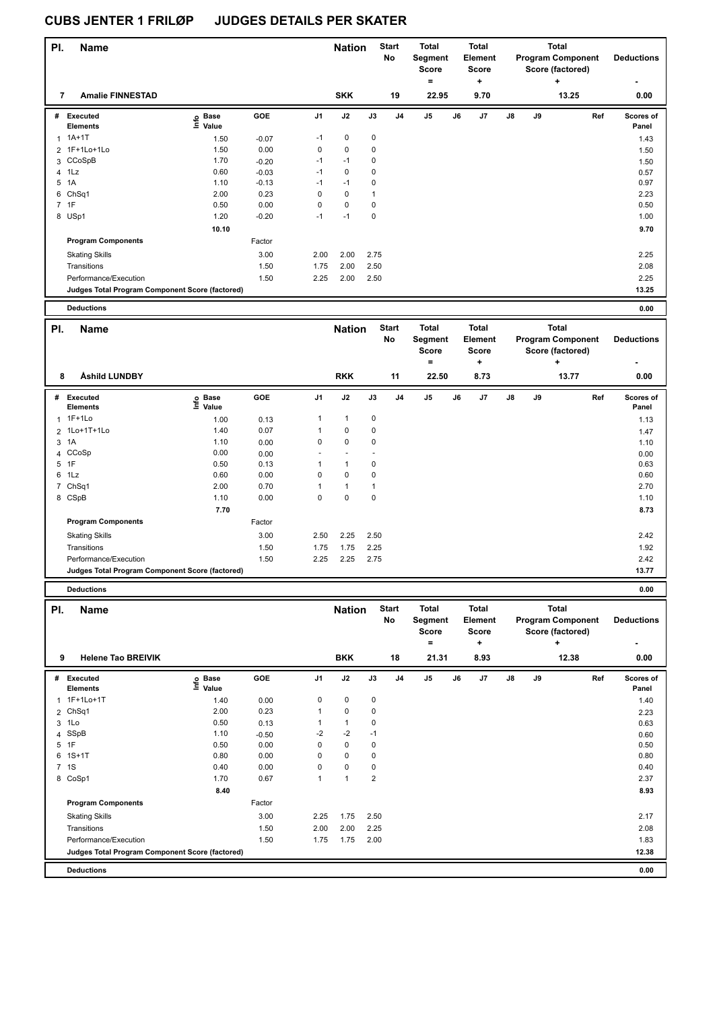**Program Components** 

| PI.            | <b>Name</b>                                     |                                  |            |                | <b>Nation</b> |              | <b>Start</b><br><b>No</b> | <b>Total</b><br><b>Segment</b><br><b>Score</b><br>$\equiv$ |    | <b>Total</b><br>Element<br>Score<br>$\ddot{}$ |               |    | <b>Total</b><br><b>Program Component</b><br>Score (factored)<br>۰. |     | <b>Deductions</b>  |
|----------------|-------------------------------------------------|----------------------------------|------------|----------------|---------------|--------------|---------------------------|------------------------------------------------------------|----|-----------------------------------------------|---------------|----|--------------------------------------------------------------------|-----|--------------------|
| 7              | <b>Amalie FINNESTAD</b>                         |                                  |            |                | <b>SKK</b>    |              | 19                        | 22.95                                                      |    | 9.70                                          |               |    | 13.25                                                              |     | 0.00               |
|                | # Executed<br><b>Elements</b>                   | <b>Base</b><br>e Base<br>⊑ Value | GOE        | J <sub>1</sub> | J2            | J3           | J <sub>4</sub>            | J <sub>5</sub>                                             | J6 | J7                                            | $\mathsf{J}8$ | J9 |                                                                    | Ref | Scores of<br>Panel |
| $\overline{1}$ | $1A+1T$                                         | 1.50                             | $-0.07$    | $-1$           | 0             | $\pmb{0}$    |                           |                                                            |    |                                               |               |    |                                                                    |     | 1.43               |
|                | 2 1F+1Lo+1Lo                                    | 1.50                             | 0.00       | 0              | $\mathbf 0$   | 0            |                           |                                                            |    |                                               |               |    |                                                                    |     | 1.50               |
|                | 3 CCoSpB                                        | 1.70                             | $-0.20$    | $-1$           | $-1$          | 0            |                           |                                                            |    |                                               |               |    |                                                                    |     | 1.50               |
| 4              | 1Lz                                             | 0.60                             | $-0.03$    | $-1$           | $\mathbf 0$   | 0            |                           |                                                            |    |                                               |               |    |                                                                    |     | 0.57               |
| 5              | 1A                                              | 1.10                             | $-0.13$    | $-1$           | $-1$          | 0            |                           |                                                            |    |                                               |               |    |                                                                    |     | 0.97               |
| 6              | ChSq1                                           | 2.00                             | 0.23       | $\Omega$       | $\mathbf 0$   | $\mathbf{1}$ |                           |                                                            |    |                                               |               |    |                                                                    |     | 2.23               |
|                | 7 1F                                            | 0.50                             | 0.00       | $\mathbf 0$    | $\mathbf 0$   | $\mathbf 0$  |                           |                                                            |    |                                               |               |    |                                                                    |     | 0.50               |
|                | 8 USp1                                          | 1.20                             | $-0.20$    | $-1$           | $-1$          | $\mathbf 0$  |                           |                                                            |    |                                               |               |    |                                                                    |     | 1.00               |
|                |                                                 | 10.10                            |            |                |               |              |                           |                                                            |    |                                               |               |    |                                                                    |     | 9.70               |
|                | <b>Program Components</b>                       |                                  | Factor     |                |               |              |                           |                                                            |    |                                               |               |    |                                                                    |     |                    |
|                | <b>Skating Skills</b>                           |                                  | 3.00       | 2.00           | 2.00          | 2.75         |                           |                                                            |    |                                               |               |    |                                                                    |     | 2.25               |
|                | Transitions                                     |                                  | 1.50       | 1.75           | 2.00          | 2.50         |                           |                                                            |    |                                               |               |    |                                                                    |     | 2.08               |
|                | Performance/Execution                           |                                  | 1.50       | 2.25           | 2.00          | 2.50         |                           |                                                            |    |                                               |               |    |                                                                    |     | 2.25               |
|                | Judges Total Program Component Score (factored) |                                  |            |                |               |              |                           |                                                            |    |                                               |               |    |                                                                    |     | 13.25              |
|                |                                                 |                                  |            |                |               |              |                           |                                                            |    |                                               |               |    |                                                                    |     |                    |
|                | <b>Deductions</b>                               |                                  |            |                |               |              |                           |                                                            |    |                                               |               |    |                                                                    |     | 0.00               |
| PI.            | Name                                            |                                  |            |                | <b>Nation</b> |              | <b>Start</b>              | <b>Total</b>                                               |    | <b>Total</b>                                  |               |    | <b>Total</b>                                                       |     |                    |
|                |                                                 |                                  |            |                |               |              | <b>No</b>                 | Segment                                                    |    | Element                                       |               |    | <b>Program Component</b>                                           |     | <b>Deductions</b>  |
|                |                                                 |                                  |            |                |               |              |                           | <b>Score</b>                                               |    | <b>Score</b>                                  |               |    | Score (factored)                                                   |     |                    |
|                |                                                 |                                  |            |                |               |              |                           | $\equiv$                                                   |    | $\ddot{}$                                     |               |    | ÷                                                                  |     |                    |
| 8              | Åshild LUNDBY                                   |                                  |            |                | <b>RKK</b>    |              | 11                        | 22.50                                                      |    | 8.73                                          |               |    | 13.77                                                              |     | 0.00               |
| #              | Executed<br><b>Elements</b>                     | o Base<br>Ξ<br>Value             | <b>GOE</b> | J1             | J2            | J3           | J <sub>4</sub>            | J <sub>5</sub>                                             | J6 | J7                                            | $\mathsf{J}8$ | J9 |                                                                    | Ref | Scores of<br>Panel |
| 1              | 1F+1Lo                                          | 1.00                             | 0.13       | $\mathbf{1}$   | $\mathbf{1}$  | $\mathbf 0$  |                           |                                                            |    |                                               |               |    |                                                                    |     | 1.13               |
|                | 2 1Lo+1T+1Lo                                    | 1.40                             | 0.07       | $\mathbf{1}$   | 0             | $\Omega$     |                           |                                                            |    |                                               |               |    |                                                                    |     | 1.47               |

 $3 \quad 1 \quad 1.10$   $0.00$  0 0 0 0 1.10 CCoSp 0.00 0.00 - - - 0.00 1F  $1$  0.50 0.13 1 1 0 1Lz  $1.5$  0.60  $0.60$  0.00  $0$  0 0  $0$  0 0  $0.60$  0.60  $0.60$  ChSq1 2.00 0.70 1 1 1 2.70 CSpB 1.10 0.00 0 0 0 1.10

Skating Skills 2.50 2.25 2.50 3.00 2.42

Transitions 1.92 1.92 1.92 1.75 1.75 1.75 2.25 Performance/Execution 1.50 2.25 2.25 2.75 2.42

**Judges Total Program Component Score (factored) 13.77**

Factor

 **7.70 8.73**

|     | <b>Deductions</b>                               |                   |            |                |               |                |                    |                                              |    |                                              |    |    |                                                                   |     | 0.00                      |
|-----|-------------------------------------------------|-------------------|------------|----------------|---------------|----------------|--------------------|----------------------------------------------|----|----------------------------------------------|----|----|-------------------------------------------------------------------|-----|---------------------------|
| PI. | <b>Name</b>                                     |                   |            |                | <b>Nation</b> |                | <b>Start</b><br>No | <b>Total</b><br>Segment<br><b>Score</b><br>٠ |    | <b>Total</b><br>Element<br><b>Score</b><br>٠ |    |    | <b>Total</b><br><b>Program Component</b><br>Score (factored)<br>÷ |     | <b>Deductions</b><br>۰    |
| 9   | <b>Helene Tao BREIVIK</b>                       |                   |            |                | <b>BKK</b>    |                | 18                 | 21.31                                        |    | 8.93                                         |    |    | 12.38                                                             |     | 0.00                      |
| #   | Executed<br><b>Elements</b>                     | e Base<br>⊆ Value | <b>GOE</b> | J <sub>1</sub> | J2            | J3             | J <sub>4</sub>     | J5                                           | J6 | J7                                           | J8 | J9 |                                                                   | Ref | <b>Scores of</b><br>Panel |
|     | 1 1F+1Lo+1T                                     | 1.40              | 0.00       | 0              | $\mathbf 0$   | $\mathbf 0$    |                    |                                              |    |                                              |    |    |                                                                   |     | 1.40                      |
|     | 2 ChSq1                                         | 2.00              | 0.23       | 1              | 0             | 0              |                    |                                              |    |                                              |    |    |                                                                   |     | 2.23                      |
|     | 3 1Lo                                           | 0.50              | 0.13       |                | $\mathbf{1}$  | 0              |                    |                                              |    |                                              |    |    |                                                                   |     | 0.63                      |
|     | 4 SSpB                                          | 1.10              | $-0.50$    | $-2$           | $-2$          | $-1$           |                    |                                              |    |                                              |    |    |                                                                   |     | 0.60                      |
|     | 5 1F                                            | 0.50              | 0.00       | 0              | 0             | 0              |                    |                                              |    |                                              |    |    |                                                                   |     | 0.50                      |
|     | $6$ 1S+1T                                       | 0.80              | 0.00       | 0              | $\mathbf 0$   | 0              |                    |                                              |    |                                              |    |    |                                                                   |     | 0.80                      |
|     | 7 1S                                            | 0.40              | 0.00       | 0              | 0             | 0              |                    |                                              |    |                                              |    |    |                                                                   |     | 0.40                      |
|     | 8 CoSp1                                         | 1.70              | 0.67       | 1              | 1             | $\overline{2}$ |                    |                                              |    |                                              |    |    |                                                                   |     | 2.37                      |
|     |                                                 | 8.40              |            |                |               |                |                    |                                              |    |                                              |    |    |                                                                   |     | 8.93                      |
|     | <b>Program Components</b>                       |                   | Factor     |                |               |                |                    |                                              |    |                                              |    |    |                                                                   |     |                           |
|     | <b>Skating Skills</b>                           |                   | 3.00       | 2.25           | 1.75          | 2.50           |                    |                                              |    |                                              |    |    |                                                                   |     | 2.17                      |
|     | Transitions                                     |                   | 1.50       | 2.00           | 2.00          | 2.25           |                    |                                              |    |                                              |    |    |                                                                   |     | 2.08                      |
|     | Performance/Execution                           |                   | 1.50       | 1.75           | 1.75          | 2.00           |                    |                                              |    |                                              |    |    |                                                                   |     | 1.83                      |
|     | Judges Total Program Component Score (factored) |                   |            |                |               |                |                    |                                              |    |                                              |    |    |                                                                   |     | 12.38                     |
|     | <b>Deductions</b>                               |                   |            |                |               |                |                    |                                              |    |                                              |    |    |                                                                   |     | 0.00                      |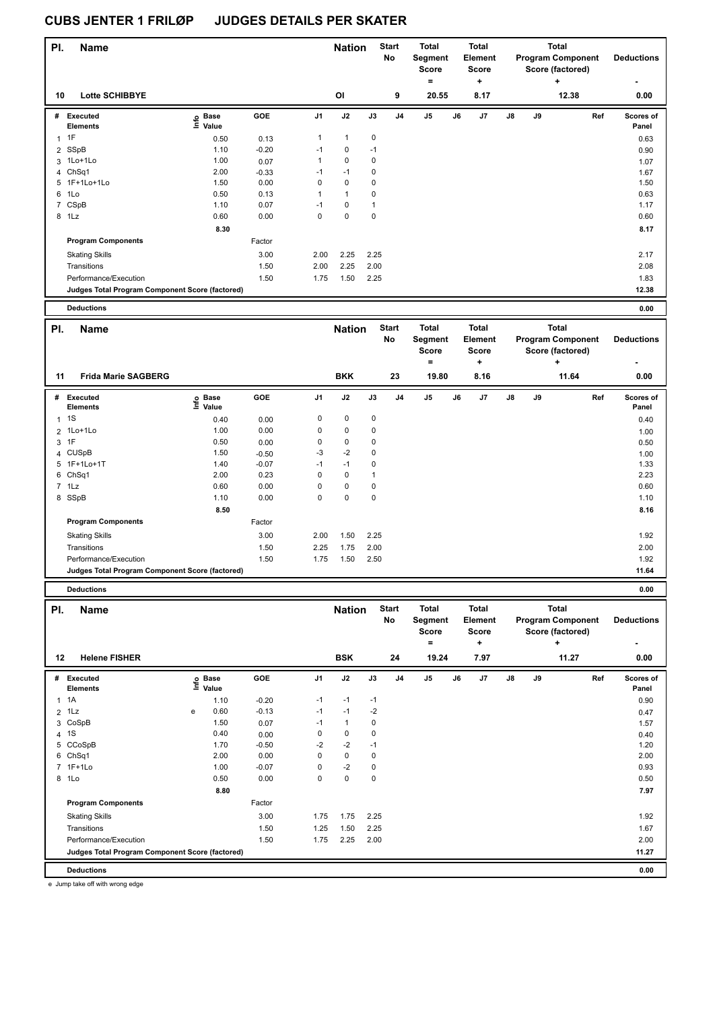| PI.            | <b>Name</b>                                     |                   |         |                | <b>Nation</b> |           | <b>Start</b><br>No | <b>Total</b><br>Segment<br><b>Score</b> |    | <b>Total</b><br>Element<br><b>Score</b> |               |    | <b>Total</b><br><b>Program Component</b><br>Score (factored) | <b>Deductions</b>         |
|----------------|-------------------------------------------------|-------------------|---------|----------------|---------------|-----------|--------------------|-----------------------------------------|----|-----------------------------------------|---------------|----|--------------------------------------------------------------|---------------------------|
| 10             | <b>Lotte SCHIBBYE</b>                           |                   |         |                | OI            |           | 9                  | $=$<br>20.55                            |    | ٠<br>8.17                               |               |    | ٠<br>12.38                                                   | 0.00                      |
| #              | Executed<br><b>Elements</b>                     | e Base<br>⊆ Value | GOE     | J <sub>1</sub> | J2            | J3        | J <sub>4</sub>     | J <sub>5</sub>                          | J6 | J7                                      | $\mathsf{J}8$ | J9 | Ref                                                          | <b>Scores of</b><br>Panel |
| 1              | 1F                                              | 0.50              | 0.13    | $\mathbf{1}$   | $\mathbf{1}$  | $\pmb{0}$ |                    |                                         |    |                                         |               |    |                                                              | 0.63                      |
|                | 2 SSpB                                          | 1.10              | $-0.20$ | $-1$           | $\mathbf 0$   | $-1$      |                    |                                         |    |                                         |               |    |                                                              | 0.90                      |
|                | 3 1Lo+1Lo                                       | 1.00              | 0.07    | $\mathbf{1}$   | $\mathbf 0$   | 0         |                    |                                         |    |                                         |               |    |                                                              | 1.07                      |
|                | 4 ChSq1                                         | 2.00              | $-0.33$ | $-1$           | $-1$          | 0         |                    |                                         |    |                                         |               |    |                                                              | 1.67                      |
|                | 5 1F+1Lo+1Lo                                    | 1.50              | 0.00    | 0              | 0             | 0         |                    |                                         |    |                                         |               |    |                                                              | 1.50                      |
| 6              | 1Lo                                             | 0.50              | 0.13    | $\mathbf{1}$   | $\mathbf{1}$  | 0         |                    |                                         |    |                                         |               |    |                                                              | 0.63                      |
| $\overline{7}$ | CSpB                                            | 1.10              | 0.07    | $-1$           | 0             | 1         |                    |                                         |    |                                         |               |    |                                                              | 1.17                      |
|                | 8 1Lz                                           | 0.60              | 0.00    | 0              | $\mathbf 0$   | 0         |                    |                                         |    |                                         |               |    |                                                              | 0.60                      |
|                |                                                 | 8.30              |         |                |               |           |                    |                                         |    |                                         |               |    |                                                              | 8.17                      |
|                | <b>Program Components</b>                       |                   | Factor  |                |               |           |                    |                                         |    |                                         |               |    |                                                              |                           |
|                | <b>Skating Skills</b>                           |                   | 3.00    | 2.00           | 2.25          | 2.25      |                    |                                         |    |                                         |               |    |                                                              | 2.17                      |
|                | Transitions                                     |                   | 1.50    | 2.00           | 2.25          | 2.00      |                    |                                         |    |                                         |               |    |                                                              | 2.08                      |
|                | Performance/Execution                           |                   | 1.50    | 1.75           | 1.50          | 2.25      |                    |                                         |    |                                         |               |    |                                                              | 1.83                      |
|                | Judges Total Program Component Score (factored) |                   |         |                |               |           |                    |                                         |    |                                         |               |    |                                                              | 12.38                     |
|                | <b>Deductions</b>                               |                   |         |                |               |           |                    |                                         |    |                                         |               |    |                                                              | 0.00                      |

| PI. | <b>Name</b>                                     |                              |         |      | <b>Nation</b> |      | <b>Start</b><br>No | <b>Total</b><br>Segment<br>Score<br>۰ |    | <b>Total</b><br>Element<br><b>Score</b><br>÷ |               |    | <b>Total</b><br><b>Program Component</b><br>Score (factored)<br>÷ | <b>Deductions</b>  |
|-----|-------------------------------------------------|------------------------------|---------|------|---------------|------|--------------------|---------------------------------------|----|----------------------------------------------|---------------|----|-------------------------------------------------------------------|--------------------|
| 11  | <b>Frida Marie SAGBERG</b>                      |                              |         |      | <b>BKK</b>    |      | 23                 | 19.80                                 |    | 8.16                                         |               |    | 11.64                                                             | 0.00               |
| #   | Executed<br><b>Elements</b>                     | <b>Base</b><br>info<br>Value | GOE     | J1   | J2            | J3   | J <sub>4</sub>     | J <sub>5</sub>                        | J6 | J7                                           | $\mathsf{J}8$ | J9 | Ref                                                               | Scores of<br>Panel |
|     | $1 \quad 1S$                                    | 0.40                         | 0.00    | 0    | $\pmb{0}$     | 0    |                    |                                       |    |                                              |               |    |                                                                   | 0.40               |
|     | 2 1Lo+1Lo                                       | 1.00                         | 0.00    | 0    | $\mathbf 0$   | 0    |                    |                                       |    |                                              |               |    |                                                                   | 1.00               |
|     | 3 1F                                            | 0.50                         | 0.00    | 0    | 0             | 0    |                    |                                       |    |                                              |               |    |                                                                   | 0.50               |
|     | 4 CUSpB                                         | 1.50                         | $-0.50$ | -3   | $-2$          | 0    |                    |                                       |    |                                              |               |    |                                                                   | 1.00               |
|     | 5 1F+1Lo+1T                                     | 1.40                         | $-0.07$ | $-1$ | $-1$          | 0    |                    |                                       |    |                                              |               |    |                                                                   | 1.33               |
|     | 6 ChSq1                                         | 2.00                         | 0.23    | 0    | 0             |      |                    |                                       |    |                                              |               |    |                                                                   | 2.23               |
|     | $7$ 1 Lz                                        | 0.60                         | 0.00    | 0    | 0             | 0    |                    |                                       |    |                                              |               |    |                                                                   | 0.60               |
|     | 8 SSpB                                          | 1.10                         | 0.00    | 0    | $\mathbf 0$   | 0    |                    |                                       |    |                                              |               |    |                                                                   | 1.10               |
|     |                                                 | 8.50                         |         |      |               |      |                    |                                       |    |                                              |               |    |                                                                   | 8.16               |
|     | <b>Program Components</b>                       |                              | Factor  |      |               |      |                    |                                       |    |                                              |               |    |                                                                   |                    |
|     | <b>Skating Skills</b>                           |                              | 3.00    | 2.00 | 1.50          | 2.25 |                    |                                       |    |                                              |               |    |                                                                   | 1.92               |
|     | Transitions                                     |                              | 1.50    | 2.25 | 1.75          | 2.00 |                    |                                       |    |                                              |               |    |                                                                   | 2.00               |
|     | Performance/Execution                           |                              | 1.50    | 1.75 | 1.50          | 2.50 |                    |                                       |    |                                              |               |    |                                                                   | 1.92               |
|     | Judges Total Program Component Score (factored) |                              |         |      |               |      |                    |                                       |    |                                              |               |    |                                                                   | 11.64              |
|     | <b>Deductions</b>                               |                              |         |      |               |      |                    |                                       |    |                                              |               |    |                                                                   | 0.00               |

| PI.            | <b>Name</b>                                     |   |                   |         |                | <b>Nation</b> |             | <b>Start</b><br><b>No</b> | Total<br>Segment<br><b>Score</b><br>۰ |    | <b>Total</b><br>Element<br>Score<br>٠ |               |    | <b>Total</b><br><b>Program Component</b><br>Score (factored)<br>٠ | <b>Deductions</b><br>٠    |
|----------------|-------------------------------------------------|---|-------------------|---------|----------------|---------------|-------------|---------------------------|---------------------------------------|----|---------------------------------------|---------------|----|-------------------------------------------------------------------|---------------------------|
| 12             | <b>Helene FISHER</b>                            |   |                   |         |                | <b>BSK</b>    |             | 24                        | 19.24                                 |    | 7.97                                  |               |    | 11.27                                                             | 0.00                      |
| #              | Executed<br><b>Elements</b>                     |   | e Base<br>⊆ Value | GOE     | J <sub>1</sub> | J2            | J3          | J <sub>4</sub>            | J <sub>5</sub>                        | J6 | J <sub>7</sub>                        | $\mathsf{J}8$ | J9 | Ref                                                               | <b>Scores of</b><br>Panel |
| $\mathbf{1}$   | 1A                                              |   | 1.10              | $-0.20$ | $-1$           | $-1$          | $-1$        |                           |                                       |    |                                       |               |    |                                                                   | 0.90                      |
| $\overline{2}$ | 1Lz                                             | e | 0.60              | $-0.13$ | $-1$           | $-1$          | $-2$        |                           |                                       |    |                                       |               |    |                                                                   | 0.47                      |
|                | 3 CoSpB                                         |   | 1.50              | 0.07    | $-1$           | $\mathbf{1}$  | $\mathbf 0$ |                           |                                       |    |                                       |               |    |                                                                   | 1.57                      |
|                | 4 1 S                                           |   | 0.40              | 0.00    | 0              | $\mathbf 0$   | $\mathbf 0$ |                           |                                       |    |                                       |               |    |                                                                   | 0.40                      |
|                | 5 CCoSpB                                        |   | 1.70              | $-0.50$ | $-2$           | $-2$          | $-1$        |                           |                                       |    |                                       |               |    |                                                                   | 1.20                      |
|                | 6 ChSq1                                         |   | 2.00              | 0.00    | 0              | $\mathbf 0$   | $\mathbf 0$ |                           |                                       |    |                                       |               |    |                                                                   | 2.00                      |
|                | 7 1F+1Lo                                        |   | 1.00              | $-0.07$ | 0              | $-2$          | $\mathbf 0$ |                           |                                       |    |                                       |               |    |                                                                   | 0.93                      |
| 8              | 1Lo                                             |   | 0.50              | 0.00    | 0              | $\mathbf 0$   | $\mathbf 0$ |                           |                                       |    |                                       |               |    |                                                                   | 0.50                      |
|                |                                                 |   | 8.80              |         |                |               |             |                           |                                       |    |                                       |               |    |                                                                   | 7.97                      |
|                | <b>Program Components</b>                       |   |                   | Factor  |                |               |             |                           |                                       |    |                                       |               |    |                                                                   |                           |
|                | <b>Skating Skills</b>                           |   |                   | 3.00    | 1.75           | 1.75          | 2.25        |                           |                                       |    |                                       |               |    |                                                                   | 1.92                      |
|                | Transitions                                     |   |                   | 1.50    | 1.25           | 1.50          | 2.25        |                           |                                       |    |                                       |               |    |                                                                   | 1.67                      |
|                | Performance/Execution                           |   |                   | 1.50    | 1.75           | 2.25          | 2.00        |                           |                                       |    |                                       |               |    |                                                                   | 2.00                      |
|                | Judges Total Program Component Score (factored) |   |                   |         |                |               |             |                           |                                       |    |                                       |               |    |                                                                   | 11.27                     |
|                | <b>Deductions</b>                               |   |                   |         |                |               |             |                           |                                       |    |                                       |               |    |                                                                   | 0.00                      |

e Jump take off with wrong edge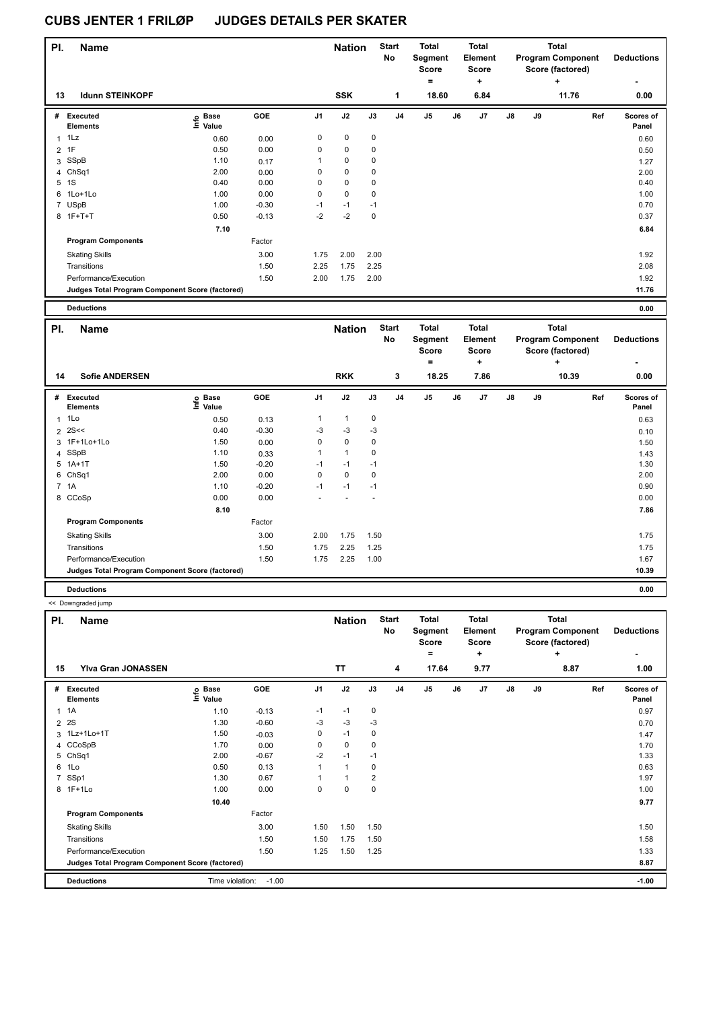| PI.          | <b>Name</b>                                     |                   |         |                | <b>Nation</b> |             | <b>Start</b><br>No | <b>Total</b><br>Segment<br><b>Score</b> |    | <b>Total</b><br>Element<br><b>Score</b> |               |    | <b>Total</b><br><b>Program Component</b><br>Score (factored) | <b>Deductions</b>  |
|--------------|-------------------------------------------------|-------------------|---------|----------------|---------------|-------------|--------------------|-----------------------------------------|----|-----------------------------------------|---------------|----|--------------------------------------------------------------|--------------------|
|              |                                                 |                   |         |                |               |             |                    | $\equiv$                                |    | ٠                                       |               |    | ÷                                                            | $\blacksquare$     |
| 13           | <b>Idunn STEINKOPF</b>                          |                   |         |                | <b>SSK</b>    |             | 1                  | 18.60                                   |    | 6.84                                    |               |    | 11.76                                                        | 0.00               |
| #            | Executed<br><b>Elements</b>                     | e Base<br>⊆ Value | GOE     | J <sub>1</sub> | J2            | J3          | J4                 | J <sub>5</sub>                          | J6 | J7                                      | $\mathsf{J}8$ | J9 | Ref                                                          | Scores of<br>Panel |
| $\mathbf{1}$ | 1Lz                                             | 0.60              | 0.00    | 0              | $\mathbf 0$   | 0           |                    |                                         |    |                                         |               |    |                                                              | 0.60               |
|              | 2 1F                                            | 0.50              | 0.00    | 0              | $\mathbf 0$   | 0           |                    |                                         |    |                                         |               |    |                                                              | 0.50               |
| 3            | SSpB                                            | 1.10              | 0.17    | 1              | $\mathbf 0$   | 0           |                    |                                         |    |                                         |               |    |                                                              | 1.27               |
|              | 4 ChSq1                                         | 2.00              | 0.00    | 0              | $\mathbf 0$   | 0           |                    |                                         |    |                                         |               |    |                                                              | 2.00               |
| 5            | 1S                                              | 0.40              | 0.00    | 0              | $\mathbf 0$   | $\mathbf 0$ |                    |                                         |    |                                         |               |    |                                                              | 0.40               |
| 6            | 1Lo+1Lo                                         | 1.00              | 0.00    | 0              | $\mathbf 0$   | $\mathbf 0$ |                    |                                         |    |                                         |               |    |                                                              | 1.00               |
| 7            | USpB                                            | 1.00              | $-0.30$ | $-1$           | $-1$          | $-1$        |                    |                                         |    |                                         |               |    |                                                              | 0.70               |
|              | 8 1F+T+T                                        | 0.50              | $-0.13$ | $-2$           | $-2$          | 0           |                    |                                         |    |                                         |               |    |                                                              | 0.37               |
|              |                                                 | 7.10              |         |                |               |             |                    |                                         |    |                                         |               |    |                                                              | 6.84               |
|              | <b>Program Components</b>                       |                   | Factor  |                |               |             |                    |                                         |    |                                         |               |    |                                                              |                    |
|              | <b>Skating Skills</b>                           |                   | 3.00    | 1.75           | 2.00          | 2.00        |                    |                                         |    |                                         |               |    |                                                              | 1.92               |
|              | Transitions                                     |                   | 1.50    | 2.25           | 1.75          | 2.25        |                    |                                         |    |                                         |               |    |                                                              | 2.08               |
|              | Performance/Execution                           |                   | 1.50    | 2.00           | 1.75          | 2.00        |                    |                                         |    |                                         |               |    |                                                              | 1.92               |
|              | Judges Total Program Component Score (factored) |                   |         |                |               |             |                    |                                         |    |                                         |               |    |                                                              | 11.76              |
|              |                                                 |                   |         |                |               |             |                    |                                         |    |                                         |               |    |                                                              |                    |

| <b>Deductions</b><br>. |  | 0.00<br>. |
|------------------------|--|-----------|
|------------------------|--|-----------|

| PI. | <b>Name</b>                                     |                                     |            |                | <b>Nation</b> |             | <b>Start</b><br>No | <b>Total</b><br>Segment<br><b>Score</b> |    | <b>Total</b><br>Element<br><b>Score</b> |               |    | <b>Total</b><br><b>Program Component</b><br>Score (factored) | <b>Deductions</b>  |
|-----|-------------------------------------------------|-------------------------------------|------------|----------------|---------------|-------------|--------------------|-----------------------------------------|----|-----------------------------------------|---------------|----|--------------------------------------------------------------|--------------------|
|     |                                                 |                                     |            |                |               |             |                    | ۰                                       |    | ٠                                       |               |    | ÷                                                            | ۰                  |
| 14  | <b>Sofie ANDERSEN</b>                           |                                     |            |                | <b>RKK</b>    |             | 3                  | 18.25                                   |    | 7.86                                    |               |    | 10.39                                                        | 0.00               |
| #   | Executed<br><b>Elements</b>                     | $\epsilon$ Base<br>$\epsilon$ Value | <b>GOE</b> | J <sub>1</sub> | J2            | J3          | J <sub>4</sub>     | J <sub>5</sub>                          | J6 | J7                                      | $\mathsf{J}8$ | J9 | Ref                                                          | Scores of<br>Panel |
|     | $1$ 1 Lo                                        | 0.50                                | 0.13       | 1              | 1             | 0           |                    |                                         |    |                                         |               |    |                                                              | 0.63               |
|     | $2$ 2S <<                                       | 0.40                                | $-0.30$    | -3             | $-3$          | $-3$        |                    |                                         |    |                                         |               |    |                                                              | 0.10               |
|     | 3 1F+1Lo+1Lo                                    | 1.50                                | 0.00       | 0              | 0             | $\mathbf 0$ |                    |                                         |    |                                         |               |    |                                                              | 1.50               |
|     | 4 SSpB                                          | 1.10                                | 0.33       | 1              | 1             | 0           |                    |                                         |    |                                         |               |    |                                                              | 1.43               |
|     | 5 1A+1T                                         | 1.50                                | $-0.20$    | $-1$           | $-1$          | $-1$        |                    |                                         |    |                                         |               |    |                                                              | 1.30               |
| 6   | ChSq1                                           | 2.00                                | 0.00       | $\Omega$       | 0             | $\mathbf 0$ |                    |                                         |    |                                         |               |    |                                                              | 2.00               |
|     | 7 1A                                            | 1.10                                | $-0.20$    | $-1$           | $-1$          | $-1$        |                    |                                         |    |                                         |               |    |                                                              | 0.90               |
|     | 8 CCoSp                                         | 0.00                                | 0.00       | ٠              |               |             |                    |                                         |    |                                         |               |    |                                                              | 0.00               |
|     |                                                 | 8.10                                |            |                |               |             |                    |                                         |    |                                         |               |    |                                                              | 7.86               |
|     | <b>Program Components</b>                       |                                     | Factor     |                |               |             |                    |                                         |    |                                         |               |    |                                                              |                    |
|     | <b>Skating Skills</b>                           |                                     | 3.00       | 2.00           | 1.75          | 1.50        |                    |                                         |    |                                         |               |    |                                                              | 1.75               |
|     | Transitions                                     |                                     | 1.50       | 1.75           | 2.25          | 1.25        |                    |                                         |    |                                         |               |    |                                                              | 1.75               |
|     | Performance/Execution                           |                                     | 1.50       | 1.75           | 2.25          | 1.00        |                    |                                         |    |                                         |               |    |                                                              | 1.67               |
|     | Judges Total Program Component Score (factored) |                                     |            |                |               |             |                    |                                         |    |                                         |               |    |                                                              | 10.39              |
|     | <b>Deductions</b>                               |                                     |            |                |               |             |                    |                                         |    |                                         |               |    |                                                              | 0.00               |

<< Downgraded jump

| PI.            | <b>Name</b>                                     |                            |         |                | <b>Nation</b> |                | <b>Start</b><br>No | <b>Total</b><br>Segment<br><b>Score</b><br>$=$ |    | <b>Total</b><br>Element<br><b>Score</b><br>÷ |    |    | Total<br><b>Program Component</b><br>Score (factored)<br>÷ | <b>Deductions</b>  |
|----------------|-------------------------------------------------|----------------------------|---------|----------------|---------------|----------------|--------------------|------------------------------------------------|----|----------------------------------------------|----|----|------------------------------------------------------------|--------------------|
| 15             | <b>Ylva Gran JONASSEN</b>                       |                            |         |                | TT            |                | 4                  | 17.64                                          |    | 9.77                                         |    |    | 8.87                                                       | 1.00               |
| #              | Executed<br><b>Elements</b>                     | e Base<br>E Value<br>Value | GOE     | J <sub>1</sub> | J2            | J3             | J <sub>4</sub>     | J <sub>5</sub>                                 | J6 | J7                                           | J8 | J9 | Ref                                                        | Scores of<br>Panel |
| $\mathbf{1}$   | 1A                                              | 1.10                       | $-0.13$ | $-1$           | $-1$          | 0              |                    |                                                |    |                                              |    |    |                                                            | 0.97               |
| $\overline{2}$ | 2S                                              | 1.30                       | $-0.60$ | $-3$           | $-3$          | $-3$           |                    |                                                |    |                                              |    |    |                                                            | 0.70               |
|                | 3 1Lz+1Lo+1T                                    | 1.50                       | $-0.03$ | 0              | $-1$          | $\mathbf 0$    |                    |                                                |    |                                              |    |    |                                                            | 1.47               |
|                | 4 CCoSpB                                        | 1.70                       | 0.00    | 0              | 0             | 0              |                    |                                                |    |                                              |    |    |                                                            | 1.70               |
| 5              | ChSq1                                           | 2.00                       | $-0.67$ | $-2$           | $-1$          | $-1$           |                    |                                                |    |                                              |    |    |                                                            | 1.33               |
| 6              | 1Lo                                             | 0.50                       | 0.13    |                | $\mathbf{1}$  | $\mathbf 0$    |                    |                                                |    |                                              |    |    |                                                            | 0.63               |
|                | 7 SSp1                                          | 1.30                       | 0.67    |                | 1             | $\overline{2}$ |                    |                                                |    |                                              |    |    |                                                            | 1.97               |
|                | 8 1F+1Lo                                        | 1.00                       | 0.00    | 0              | 0             | $\mathbf 0$    |                    |                                                |    |                                              |    |    |                                                            | 1.00               |
|                |                                                 | 10.40                      |         |                |               |                |                    |                                                |    |                                              |    |    |                                                            | 9.77               |
|                | <b>Program Components</b>                       |                            | Factor  |                |               |                |                    |                                                |    |                                              |    |    |                                                            |                    |
|                | <b>Skating Skills</b>                           |                            | 3.00    | 1.50           | 1.50          | 1.50           |                    |                                                |    |                                              |    |    |                                                            | 1.50               |
|                | Transitions                                     |                            | 1.50    | 1.50           | 1.75          | 1.50           |                    |                                                |    |                                              |    |    |                                                            | 1.58               |
|                | Performance/Execution                           |                            | 1.50    | 1.25           | 1.50          | 1.25           |                    |                                                |    |                                              |    |    |                                                            | 1.33               |
|                | Judges Total Program Component Score (factored) |                            |         |                |               |                |                    |                                                |    |                                              |    |    |                                                            | 8.87               |
|                | <b>Deductions</b>                               | Time violation:            | $-1.00$ |                |               |                |                    |                                                |    |                                              |    |    |                                                            | $-1.00$            |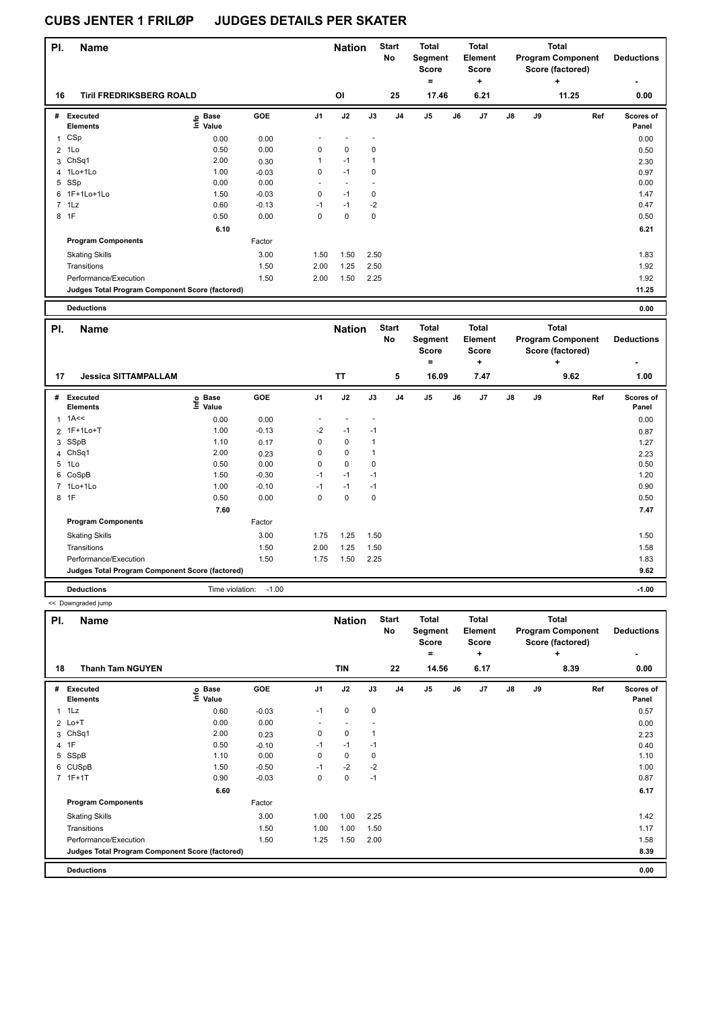| PI.            | <b>Name</b>                                     |                   |         |                | <b>Nation</b>  |              | <b>Start</b><br>No | <b>Total</b><br>Segment<br><b>Score</b> |    | <b>Total</b><br>Element<br><b>Score</b> |               |    | <b>Total</b><br><b>Program Component</b><br>Score (factored) | <b>Deductions</b>         |
|----------------|-------------------------------------------------|-------------------|---------|----------------|----------------|--------------|--------------------|-----------------------------------------|----|-----------------------------------------|---------------|----|--------------------------------------------------------------|---------------------------|
| 16             | <b>Tiril FREDRIKSBERG ROALD</b>                 |                   |         |                | <b>OI</b>      |              | 25                 | $\equiv$<br>17.46                       |    | ٠<br>6.21                               |               |    | ٠<br>11.25                                                   | $\blacksquare$<br>0.00    |
| #              | <b>Executed</b><br><b>Elements</b>              | e Base<br>⊆ Value | GOE     | J <sub>1</sub> | J2             | J3           | J <sub>4</sub>     | J <sub>5</sub>                          | J6 | J7                                      | $\mathsf{J}8$ | J9 | Ref                                                          | <b>Scores of</b><br>Panel |
| $\mathbf{1}$   | CSp                                             | 0.00              | 0.00    |                |                |              |                    |                                         |    |                                         |               |    |                                                              | 0.00                      |
| $\overline{2}$ | 1Lo                                             | 0.50              | 0.00    | 0              | $\mathbf 0$    | 0            |                    |                                         |    |                                         |               |    |                                                              | 0.50                      |
| 3              | Ch <sub>Sq1</sub>                               | 2.00              | 0.30    | $\mathbf{1}$   | $-1$           | $\mathbf{1}$ |                    |                                         |    |                                         |               |    |                                                              | 2.30                      |
|                | 4 1Lo+1Lo                                       | 1.00              | $-0.03$ | 0              | $-1$           | 0            |                    |                                         |    |                                         |               |    |                                                              | 0.97                      |
| 5              | SSp                                             | 0.00              | 0.00    | ٠              | $\blacksquare$ | ٠            |                    |                                         |    |                                         |               |    |                                                              | 0.00                      |
|                | 6 1F+1Lo+1Lo                                    | 1.50              | $-0.03$ | $\mathbf 0$    | $-1$           | 0            |                    |                                         |    |                                         |               |    |                                                              | 1.47                      |
|                | 7 1Lz                                           | 0.60              | $-0.13$ | $-1$           | $-1$           | $-2$         |                    |                                         |    |                                         |               |    |                                                              | 0.47                      |
|                | 8 1F                                            | 0.50              | 0.00    | 0              | $\mathbf 0$    | 0            |                    |                                         |    |                                         |               |    |                                                              | 0.50                      |
|                |                                                 | 6.10              |         |                |                |              |                    |                                         |    |                                         |               |    |                                                              | 6.21                      |
|                | <b>Program Components</b>                       |                   | Factor  |                |                |              |                    |                                         |    |                                         |               |    |                                                              |                           |
|                | <b>Skating Skills</b>                           |                   | 3.00    | 1.50           | 1.50           | 2.50         |                    |                                         |    |                                         |               |    |                                                              | 1.83                      |
|                | Transitions                                     |                   | 1.50    | 2.00           | 1.25           | 2.50         |                    |                                         |    |                                         |               |    |                                                              | 1.92                      |
|                | Performance/Execution                           |                   | 1.50    | 2.00           | 1.50           | 2.25         |                    |                                         |    |                                         |               |    |                                                              | 1.92                      |
|                | Judges Total Program Component Score (factored) |                   |         |                |                |              |                    |                                         |    |                                         |               |    |                                                              | 11.25                     |
|                | <b>Deductions</b>                               |                   |         |                |                |              |                    |                                         |    |                                         |               |    |                                                              | 0.00                      |

| PI. | <b>Name</b>                                     |                                |         |                | <b>Nation</b> |      | <b>Start</b><br>No | <b>Total</b><br>Segment<br><b>Score</b> |    | <b>Total</b><br>Element<br><b>Score</b> |               |    | <b>Total</b><br><b>Program Component</b><br>Score (factored) | <b>Deductions</b>  |
|-----|-------------------------------------------------|--------------------------------|---------|----------------|---------------|------|--------------------|-----------------------------------------|----|-----------------------------------------|---------------|----|--------------------------------------------------------------|--------------------|
| 17  | <b>Jessica SITTAMPALLAM</b>                     |                                |         |                | <b>TT</b>     |      | 5                  | $\equiv$<br>16.09                       |    | ÷<br>7.47                               |               |    | ÷<br>9.62                                                    | 1.00               |
| #   | <b>Executed</b><br><b>Elements</b>              | $\sum_{i=1}^{6}$ Base<br>Value | GOE     | J <sub>1</sub> | J2            | J3   | J <sub>4</sub>     | J <sub>5</sub>                          | J6 | J7                                      | $\mathsf{J}8$ | J9 | Ref                                                          | Scores of<br>Panel |
|     | $1$ 1A<<                                        | 0.00                           | 0.00    |                |               |      |                    |                                         |    |                                         |               |    |                                                              | 0.00               |
|     | 2 1F+1Lo+T                                      | 1.00                           | $-0.13$ | $-2$           | $-1$          | $-1$ |                    |                                         |    |                                         |               |    |                                                              | 0.87               |
|     | 3 SSpB                                          | 1.10                           | 0.17    | 0              | $\mathbf 0$   | 1    |                    |                                         |    |                                         |               |    |                                                              | 1.27               |
|     | 4 ChSq1                                         | 2.00                           | 0.23    | 0              | $\mathbf 0$   | 1    |                    |                                         |    |                                         |               |    |                                                              | 2.23               |
|     | 5 1Lo                                           | 0.50                           | 0.00    | 0              | $\mathbf 0$   | 0    |                    |                                         |    |                                         |               |    |                                                              | 0.50               |
|     | 6 CoSpB                                         | 1.50                           | $-0.30$ | $-1$           | $-1$          | $-1$ |                    |                                         |    |                                         |               |    |                                                              | 1.20               |
|     | 7 1Lo+1Lo                                       | 1.00                           | $-0.10$ | $-1$           | $-1$          | $-1$ |                    |                                         |    |                                         |               |    |                                                              | 0.90               |
|     | 8 1F                                            | 0.50                           | 0.00    | 0              | $\mathbf 0$   | 0    |                    |                                         |    |                                         |               |    |                                                              | 0.50               |
|     |                                                 | 7.60                           |         |                |               |      |                    |                                         |    |                                         |               |    |                                                              | 7.47               |
|     | <b>Program Components</b>                       |                                | Factor  |                |               |      |                    |                                         |    |                                         |               |    |                                                              |                    |
|     | <b>Skating Skills</b>                           |                                | 3.00    | 1.75           | 1.25          | 1.50 |                    |                                         |    |                                         |               |    |                                                              | 1.50               |
|     | Transitions                                     |                                | 1.50    | 2.00           | 1.25          | 1.50 |                    |                                         |    |                                         |               |    |                                                              | 1.58               |
|     | Performance/Execution                           |                                | 1.50    | 1.75           | 1.50          | 2.25 |                    |                                         |    |                                         |               |    |                                                              | 1.83               |
|     | Judges Total Program Component Score (factored) |                                |         |                |               |      |                    |                                         |    |                                         |               |    |                                                              | 9.62               |
|     | <b>Deductions</b>                               | Time violation:                | $-1.00$ |                |               |      |                    |                                         |    |                                         |               |    |                                                              | $-1.00$            |

<< Downgraded jump

| PI.            | Name                                            |                   |         |          | <b>Nation</b> |      | <b>Start</b><br>No | <b>Total</b><br>Segment<br><b>Score</b><br>$=$ |    | <b>Total</b><br><b>Element</b><br><b>Score</b><br>÷ |               |    | <b>Total</b><br><b>Program Component</b><br>Score (factored)<br>÷ | <b>Deductions</b><br>۰ |
|----------------|-------------------------------------------------|-------------------|---------|----------|---------------|------|--------------------|------------------------------------------------|----|-----------------------------------------------------|---------------|----|-------------------------------------------------------------------|------------------------|
| 18             | <b>Thanh Tam NGUYEN</b>                         |                   |         |          | <b>TIN</b>    |      | 22                 | 14.56                                          |    | 6.17                                                |               |    | 8.39                                                              | 0.00                   |
| #              | Executed<br><b>Elements</b>                     | e Base<br>⊆ Value | GOE     | J1       | J2            | J3   | J <sub>4</sub>     | J <sub>5</sub>                                 | J6 | J7                                                  | $\mathsf{J}8$ | J9 | Ref                                                               | Scores of<br>Panel     |
| 1              | 1Lz                                             | 0.60              | $-0.03$ | $-1$     | 0             | 0    |                    |                                                |    |                                                     |               |    |                                                                   | 0.57                   |
|                | $2$ Lo+T                                        | 0.00              | 0.00    |          |               |      |                    |                                                |    |                                                     |               |    |                                                                   | 0.00                   |
| 3              | ChSq1                                           | 2.00              | 0.23    | 0        | 0             |      |                    |                                                |    |                                                     |               |    |                                                                   | 2.23                   |
| $\overline{4}$ | 1F                                              | 0.50              | $-0.10$ | $-1$     | $-1$          | $-1$ |                    |                                                |    |                                                     |               |    |                                                                   | 0.40                   |
| 5              | SSpB                                            | 1.10              | 0.00    | $\Omega$ | 0             | 0    |                    |                                                |    |                                                     |               |    |                                                                   | 1.10                   |
|                | 6 CUSpB                                         | 1.50              | $-0.50$ | $-1$     | $-2$          | $-2$ |                    |                                                |    |                                                     |               |    |                                                                   | 1.00                   |
|                | 7 1F+1T                                         | 0.90              | $-0.03$ | 0        | 0             | $-1$ |                    |                                                |    |                                                     |               |    |                                                                   | 0.87                   |
|                |                                                 | 6.60              |         |          |               |      |                    |                                                |    |                                                     |               |    |                                                                   | 6.17                   |
|                | <b>Program Components</b>                       |                   | Factor  |          |               |      |                    |                                                |    |                                                     |               |    |                                                                   |                        |
|                | <b>Skating Skills</b>                           |                   | 3.00    | 1.00     | 1.00          | 2.25 |                    |                                                |    |                                                     |               |    |                                                                   | 1.42                   |
|                | Transitions                                     |                   | 1.50    | 1.00     | 1.00          | 1.50 |                    |                                                |    |                                                     |               |    |                                                                   | 1.17                   |
|                | Performance/Execution                           |                   | 1.50    | 1.25     | 1.50          | 2.00 |                    |                                                |    |                                                     |               |    |                                                                   | 1.58                   |
|                | Judges Total Program Component Score (factored) |                   |         |          |               |      |                    |                                                |    |                                                     |               |    |                                                                   | 8.39                   |
|                | <b>Deductions</b>                               |                   |         |          |               |      |                    |                                                |    |                                                     |               |    |                                                                   | 0.00                   |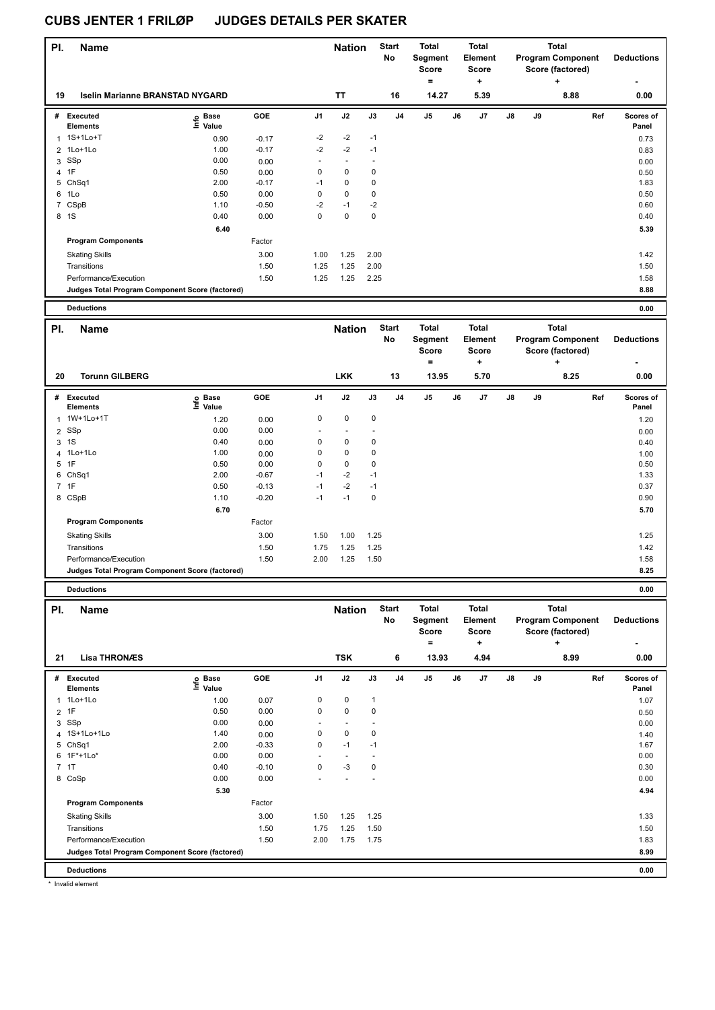| PI.            | <b>Name</b>                                     |                              |         |                | <b>Nation</b>  |                | <b>Start</b><br><b>No</b> | <b>Total</b><br>Segment<br><b>Score</b><br>$\equiv$ |    | <b>Total</b><br>Element<br><b>Score</b><br>$\ddot{}$ |               |    | <b>Total</b><br><b>Program Component</b><br>Score (factored)<br>+ |     | <b>Deductions</b>         |
|----------------|-------------------------------------------------|------------------------------|---------|----------------|----------------|----------------|---------------------------|-----------------------------------------------------|----|------------------------------------------------------|---------------|----|-------------------------------------------------------------------|-----|---------------------------|
| 19             | <b>Iselin Marianne BRANSTAD NYGARD</b>          |                              |         |                | <b>TT</b>      |                | 16                        | 14.27                                               |    | 5.39                                                 |               |    | 8.88                                                              |     | 0.00                      |
| #              | <b>Executed</b><br><b>Elements</b>              | e Base<br>⊆ Value            | GOE     | J <sub>1</sub> | J2             | J3             | J <sub>4</sub>            | J <sub>5</sub>                                      | J6 | J7                                                   | $\mathsf{J}8$ | J9 |                                                                   | Ref | <b>Scores of</b><br>Panel |
|                | 1 1S+1Lo+T                                      | 0.90                         | $-0.17$ | $-2$           | $-2$           | $-1$           |                           |                                                     |    |                                                      |               |    |                                                                   |     | 0.73                      |
| $\overline{2}$ | 1Lo+1Lo                                         | 1.00                         | $-0.17$ | $-2$           | $-2$           | $-1$           |                           |                                                     |    |                                                      |               |    |                                                                   |     | 0.83                      |
| 3              | SSp                                             | 0.00                         | 0.00    |                | $\overline{a}$ | $\overline{a}$ |                           |                                                     |    |                                                      |               |    |                                                                   |     | 0.00                      |
|                | 4 1F                                            | 0.50                         | 0.00    | $\mathbf 0$    | $\mathbf 0$    | $\pmb{0}$      |                           |                                                     |    |                                                      |               |    |                                                                   |     | 0.50                      |
|                | 5 ChSq1                                         | 2.00                         | $-0.17$ | $-1$           | $\mathbf 0$    | $\pmb{0}$      |                           |                                                     |    |                                                      |               |    |                                                                   |     | 1.83                      |
| 6              | 1Lo                                             | 0.50                         | 0.00    | $\Omega$       | $\mathbf 0$    | $\mathbf 0$    |                           |                                                     |    |                                                      |               |    |                                                                   |     | 0.50                      |
|                | 7 CSpB                                          | 1.10                         | $-0.50$ | $-2$           | $-1$           | $-2$           |                           |                                                     |    |                                                      |               |    |                                                                   |     | 0.60                      |
|                | 8 1S                                            | 0.40                         | 0.00    | $\Omega$       | $\Omega$       | $\Omega$       |                           |                                                     |    |                                                      |               |    |                                                                   |     | 0.40                      |
|                |                                                 | 6.40                         |         |                |                |                |                           |                                                     |    |                                                      |               |    |                                                                   |     | 5.39                      |
|                | <b>Program Components</b>                       |                              | Factor  |                |                |                |                           |                                                     |    |                                                      |               |    |                                                                   |     |                           |
|                | <b>Skating Skills</b>                           |                              | 3.00    | 1.00           | 1.25           | 2.00           |                           |                                                     |    |                                                      |               |    |                                                                   |     | 1.42                      |
|                | Transitions                                     |                              | 1.50    | 1.25           | 1.25           | 2.00           |                           |                                                     |    |                                                      |               |    |                                                                   |     | 1.50                      |
|                | Performance/Execution                           |                              | 1.50    | 1.25           | 1.25           | 2.25           |                           |                                                     |    |                                                      |               |    |                                                                   |     | 1.58                      |
|                | Judges Total Program Component Score (factored) |                              |         |                |                |                |                           |                                                     |    |                                                      |               |    |                                                                   |     | 8.88                      |
|                |                                                 |                              |         |                |                |                |                           |                                                     |    |                                                      |               |    |                                                                   |     |                           |
|                | <b>Deductions</b>                               |                              |         |                |                |                |                           |                                                     |    |                                                      |               |    |                                                                   |     | 0.00                      |
| PI.            | <b>Name</b>                                     |                              |         |                | <b>Nation</b>  |                | <b>Start</b>              | <b>Total</b>                                        |    | <b>Total</b>                                         |               |    | <b>Total</b>                                                      |     |                           |
|                |                                                 |                              |         |                |                |                | <b>No</b>                 | Segment                                             |    | Element                                              |               |    | <b>Program Component</b>                                          |     | <b>Deductions</b>         |
|                |                                                 |                              |         |                |                |                |                           | <b>Score</b>                                        |    | <b>Score</b>                                         |               |    | Score (factored)                                                  |     |                           |
|                |                                                 |                              |         |                |                |                |                           | $\equiv$                                            |    | $\ddot{}$                                            |               |    | +                                                                 |     |                           |
| 20             | <b>Torunn GILBERG</b>                           |                              |         |                | <b>LKK</b>     |                | 13                        | 13.95                                               |    | 5.70                                                 |               |    | 8.25                                                              |     | 0.00                      |
|                | # Executed<br><b>Elements</b>                   | o Base<br>$\ddot{\Xi}$ Value | GOE     | J1             | J2             | J3             | J <sub>4</sub>            | J <sub>5</sub>                                      | J6 | J7                                                   | $\mathsf{J}8$ | J9 |                                                                   | Ref | Scores of<br>Panel        |
|                | 1 1W+1Lo+1T                                     | 1.20                         | 0.00    | $\pmb{0}$      | $\mathbf 0$    | $\pmb{0}$      |                           |                                                     |    |                                                      |               |    |                                                                   |     | 1.20                      |
| $\overline{2}$ | SSp                                             | 0.00                         | 0.00    |                |                |                |                           |                                                     |    |                                                      |               |    |                                                                   |     | 0.00                      |
|                | 3 1S                                            | 0.40                         | 0.00    | $\mathbf 0$    | $\mathbf 0$    | $\mathbf 0$    |                           |                                                     |    |                                                      |               |    |                                                                   |     | 0.40                      |

 1Lo+1Lo 1.00 0.00 0 0 0 1.00 1F 0.50 0.00 0 0 0 0.50 ChSq1 2.00 -0.67 -1 -2 -1 1.33 1F 0.50 -0.13 -1 -2 -1 0.37 CSpB 1.10 -0.20 -1 -1 0 0.90

Skating Skills 1.50 1.00 1.25 3.00 1.25

Transitions 1.42 1.50 1.75 1.25 1.25 1.25 1.25 1.42 Performance/Execution 1.50 1.50 2.00 1.25 1.50 2.00 1.25 1.50

**Deductions 0.00 Judges Total Program Component Score (factored) 8.25**

Factor

**6.70** 5.70

| PI. | <b>Name</b>                                     |                   |            |                | <b>Nation</b>            |              | <b>Start</b><br>No | <b>Total</b><br>Segment<br>Score |    | <b>Total</b><br>Element<br><b>Score</b> |               |    | <b>Total</b><br><b>Program Component</b><br>Score (factored) | <b>Deductions</b>  |
|-----|-------------------------------------------------|-------------------|------------|----------------|--------------------------|--------------|--------------------|----------------------------------|----|-----------------------------------------|---------------|----|--------------------------------------------------------------|--------------------|
|     |                                                 |                   |            |                |                          |              |                    | Ξ.                               |    | ٠                                       |               |    | ÷                                                            |                    |
| 21  | <b>Lisa THRONÆS</b>                             |                   |            |                | <b>TSK</b>               |              | 6                  | 13.93                            |    | 4.94                                    |               |    | 8.99                                                         | 0.00               |
| #   | Executed<br><b>Elements</b>                     | e Base<br>⊆ Value | <b>GOE</b> | J <sub>1</sub> | J2                       | J3           | J <sub>4</sub>     | J <sub>5</sub>                   | J6 | J7                                      | $\mathsf{J}8$ | J9 | Ref                                                          | Scores of<br>Panel |
|     | 1 1Lo+1Lo                                       | 1.00              | 0.07       | 0              | 0                        | $\mathbf{1}$ |                    |                                  |    |                                         |               |    |                                                              | 1.07               |
|     | $2$ 1F                                          | 0.50              | 0.00       | $\mathbf 0$    | $\mathbf 0$              | 0            |                    |                                  |    |                                         |               |    |                                                              | 0.50               |
| 3   | SSp                                             | 0.00              | 0.00       |                |                          |              |                    |                                  |    |                                         |               |    |                                                              | 0.00               |
|     | 4 1S+1Lo+1Lo                                    | 1.40              | 0.00       | 0              | $\mathbf 0$              | 0            |                    |                                  |    |                                         |               |    |                                                              | 1.40               |
|     | 5 ChSq1                                         | 2.00              | $-0.33$    | $\mathbf 0$    | $-1$                     | $-1$         |                    |                                  |    |                                         |               |    |                                                              | 1.67               |
|     | 6 1F*+1Lo*                                      | 0.00              | 0.00       | $\overline{a}$ | $\overline{\phantom{a}}$ |              |                    |                                  |    |                                         |               |    |                                                              | 0.00               |
|     | 7 <sub>1</sub>                                  | 0.40              | $-0.10$    | 0              | $-3$                     | 0            |                    |                                  |    |                                         |               |    |                                                              | 0.30               |
|     | 8 CoSp                                          | 0.00              | 0.00       |                |                          |              |                    |                                  |    |                                         |               |    |                                                              | 0.00               |
|     |                                                 | 5.30              |            |                |                          |              |                    |                                  |    |                                         |               |    |                                                              | 4.94               |
|     | <b>Program Components</b>                       |                   | Factor     |                |                          |              |                    |                                  |    |                                         |               |    |                                                              |                    |
|     | <b>Skating Skills</b>                           |                   | 3.00       | 1.50           | 1.25                     | 1.25         |                    |                                  |    |                                         |               |    |                                                              | 1.33               |
|     | Transitions                                     |                   | 1.50       | 1.75           | 1.25                     | 1.50         |                    |                                  |    |                                         |               |    |                                                              | 1.50               |
|     | Performance/Execution                           |                   | 1.50       | 2.00           | 1.75                     | 1.75         |                    |                                  |    |                                         |               |    |                                                              | 1.83               |
|     | Judges Total Program Component Score (factored) |                   |            |                |                          |              |                    |                                  |    |                                         |               |    |                                                              | 8.99               |
|     | <b>Deductions</b>                               |                   |            |                |                          |              |                    |                                  |    |                                         |               |    |                                                              | 0.00               |

\* Invalid element

**Program Components**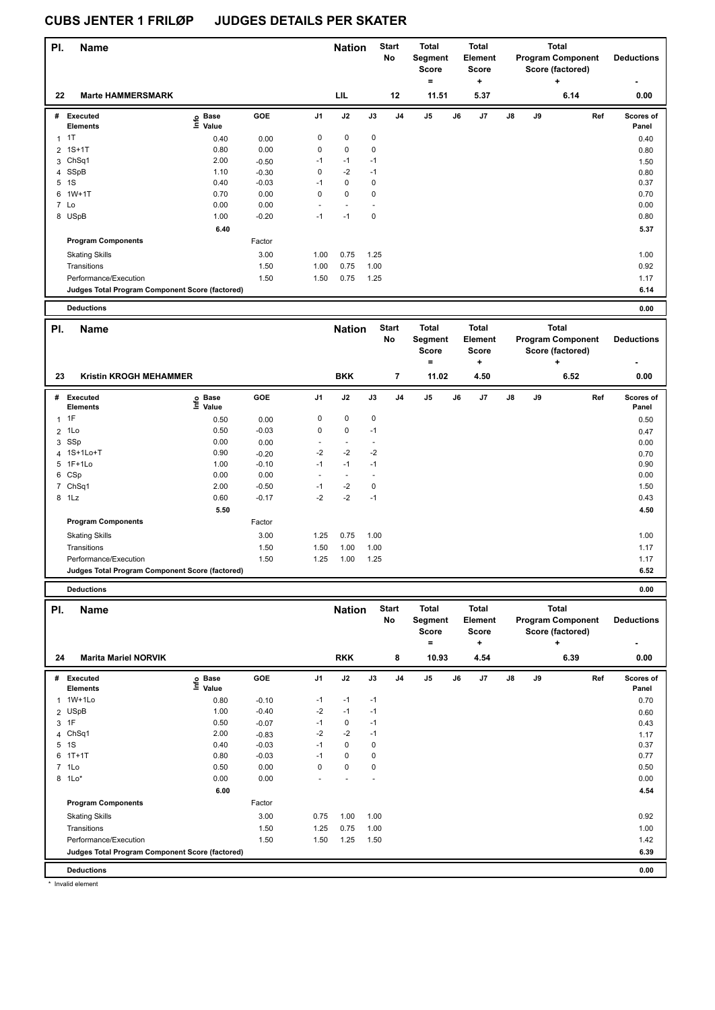| PI. | <b>Name</b>                                     |                   |         |                | <b>Nation</b> |           | <b>Start</b><br>No | Total<br>Segment<br><b>Score</b> |    | <b>Total</b><br>Element<br>Score |               |    | <b>Total</b><br><b>Program Component</b><br>Score (factored) | <b>Deductions</b>  |
|-----|-------------------------------------------------|-------------------|---------|----------------|---------------|-----------|--------------------|----------------------------------|----|----------------------------------|---------------|----|--------------------------------------------------------------|--------------------|
| 22  | <b>Marte HAMMERSMARK</b>                        |                   |         |                | LIL           |           | 12                 | $=$<br>11.51                     |    | ÷<br>5.37                        |               |    | ٠<br>6.14                                                    | 0.00               |
| #   | Executed<br><b>Elements</b>                     | e Base<br>⊆ Value | GOE     | J <sub>1</sub> | J2            | J3        | J <sub>4</sub>     | J <sub>5</sub>                   | J6 | J <sub>7</sub>                   | $\mathsf{J}8$ | J9 | Ref                                                          | Scores of<br>Panel |
| 1   | 1T                                              | 0.40              | 0.00    | 0              | $\mathbf 0$   | $\pmb{0}$ |                    |                                  |    |                                  |               |    |                                                              | 0.40               |
|     | 2 1S+1T                                         | 0.80              | 0.00    | $\pmb{0}$      | $\mathbf 0$   | 0         |                    |                                  |    |                                  |               |    |                                                              | 0.80               |
|     | 3 ChSq1                                         | 2.00              | $-0.50$ | $-1$           | $-1$          | $-1$      |                    |                                  |    |                                  |               |    |                                                              | 1.50               |
|     | 4 SSpB                                          | 1.10              | $-0.30$ | 0              | $-2$          | $-1$      |                    |                                  |    |                                  |               |    |                                                              | 0.80               |
| 5   | 1S                                              | 0.40              | $-0.03$ | $-1$           | 0             | 0         |                    |                                  |    |                                  |               |    |                                                              | 0.37               |
| 6   | $1W+1T$                                         | 0.70              | 0.00    | 0              | $\mathbf 0$   | 0         |                    |                                  |    |                                  |               |    |                                                              | 0.70               |
|     | 7 Lo                                            | 0.00              | 0.00    |                |               |           |                    |                                  |    |                                  |               |    |                                                              | 0.00               |
|     | 8 USpB                                          | 1.00              | $-0.20$ | $-1$           | $-1$          | 0         |                    |                                  |    |                                  |               |    |                                                              | 0.80               |
|     |                                                 | 6.40              |         |                |               |           |                    |                                  |    |                                  |               |    |                                                              | 5.37               |
|     | <b>Program Components</b>                       |                   | Factor  |                |               |           |                    |                                  |    |                                  |               |    |                                                              |                    |
|     | <b>Skating Skills</b>                           |                   | 3.00    | 1.00           | 0.75          | 1.25      |                    |                                  |    |                                  |               |    |                                                              | 1.00               |
|     | Transitions                                     |                   | 1.50    | 1.00           | 0.75          | 1.00      |                    |                                  |    |                                  |               |    |                                                              | 0.92               |
|     | Performance/Execution                           |                   | 1.50    | 1.50           | 0.75          | 1.25      |                    |                                  |    |                                  |               |    |                                                              | 1.17               |
|     | Judges Total Program Component Score (factored) |                   |         |                |               |           |                    |                                  |    |                                  |               |    |                                                              | 6.14               |
|     | <b>Deductions</b>                               |                   |         |                |               |           |                    |                                  |    |                                  |               |    |                                                              | 0.00               |

| PI. | <b>Name</b>                                     |                            |         |                | <b>Nation</b> |      | <b>Start</b><br><b>No</b> | <b>Total</b><br>Segment<br><b>Score</b><br>$=$ |    | <b>Total</b><br><b>Element</b><br><b>Score</b><br>٠ |               |    | <b>Total</b><br><b>Program Component</b><br>Score (factored)<br>٠ | <b>Deductions</b>  |
|-----|-------------------------------------------------|----------------------------|---------|----------------|---------------|------|---------------------------|------------------------------------------------|----|-----------------------------------------------------|---------------|----|-------------------------------------------------------------------|--------------------|
| 23  | Kristin KROGH MEHAMMER                          |                            |         |                | <b>BKK</b>    |      | 7                         | 11.02                                          |    | 4.50                                                |               |    | 6.52                                                              | 0.00               |
| #   | Executed<br><b>Elements</b>                     | e Base<br>⊑ Value<br>Value | GOE     | J <sub>1</sub> | J2            | J3   | J <sub>4</sub>            | J <sub>5</sub>                                 | J6 | J7                                                  | $\mathsf{J}8$ | J9 | Ref                                                               | Scores of<br>Panel |
|     | 1T                                              | 0.50                       | 0.00    | 0              | 0             | 0    |                           |                                                |    |                                                     |               |    |                                                                   | 0.50               |
|     | $2$ 1 Lo                                        | 0.50                       | $-0.03$ | 0              | $\mathbf 0$   | $-1$ |                           |                                                |    |                                                     |               |    |                                                                   | 0.47               |
|     | 3 SSp                                           | 0.00                       | 0.00    |                |               |      |                           |                                                |    |                                                     |               |    |                                                                   | 0.00               |
|     | 4 1S+1Lo+T                                      | 0.90                       | $-0.20$ | $-2$           | $-2$          | $-2$ |                           |                                                |    |                                                     |               |    |                                                                   | 0.70               |
|     | 5 1F+1Lo                                        | 1.00                       | $-0.10$ | $-1$           | $-1$          | $-1$ |                           |                                                |    |                                                     |               |    |                                                                   | 0.90               |
|     | 6 CSp                                           | 0.00                       | 0.00    |                |               |      |                           |                                                |    |                                                     |               |    |                                                                   | 0.00               |
|     | 7 ChSq1                                         | 2.00                       | $-0.50$ | $-1$           | $-2$          | 0    |                           |                                                |    |                                                     |               |    |                                                                   | 1.50               |
|     | 8 1Lz                                           | 0.60                       | $-0.17$ | $-2$           | $-2$          | $-1$ |                           |                                                |    |                                                     |               |    |                                                                   | 0.43               |
|     |                                                 | 5.50                       |         |                |               |      |                           |                                                |    |                                                     |               |    |                                                                   | 4.50               |
|     | <b>Program Components</b>                       |                            | Factor  |                |               |      |                           |                                                |    |                                                     |               |    |                                                                   |                    |
|     | <b>Skating Skills</b>                           |                            | 3.00    | 1.25           | 0.75          | 1.00 |                           |                                                |    |                                                     |               |    |                                                                   | 1.00               |
|     | Transitions                                     |                            | 1.50    | 1.50           | 1.00          | 1.00 |                           |                                                |    |                                                     |               |    |                                                                   | 1.17               |
|     | Performance/Execution                           |                            | 1.50    | 1.25           | 1.00          | 1.25 |                           |                                                |    |                                                     |               |    |                                                                   | 1.17               |
|     | Judges Total Program Component Score (factored) |                            |         |                |               |      |                           |                                                |    |                                                     |               |    |                                                                   | 6.52               |
|     |                                                 |                            |         |                |               |      |                           |                                                |    |                                                     |               |    |                                                                   |                    |

**Deductions 0.00**

| PI.          | <b>Name</b>                                     |                            |            |                | <b>Nation</b> |                          | <b>Start</b><br><b>No</b> | <b>Total</b><br>Segment<br><b>Score</b><br>۰ |    | <b>Total</b><br>Element<br><b>Score</b><br>$\ddot{}$ |    |    | <b>Total</b><br><b>Program Component</b><br>Score (factored)<br>٠ | <b>Deductions</b>         |
|--------------|-------------------------------------------------|----------------------------|------------|----------------|---------------|--------------------------|---------------------------|----------------------------------------------|----|------------------------------------------------------|----|----|-------------------------------------------------------------------|---------------------------|
| 24           | <b>Marita Mariel NORVIK</b>                     |                            |            |                | <b>RKK</b>    |                          | 8                         | 10.93                                        |    | 4.54                                                 |    |    | 6.39                                                              | 0.00                      |
| #            | <b>Executed</b><br><b>Elements</b>              | e Base<br>⊆ Value<br>Value | <b>GOE</b> | J <sub>1</sub> | J2            | J3                       | J <sub>4</sub>            | J <sub>5</sub>                               | J6 | J <sub>7</sub>                                       | J8 | J9 | Ref                                                               | <b>Scores of</b><br>Panel |
| $\mathbf{1}$ | 1W+1Lo                                          | 0.80                       | $-0.10$    | $-1$           | $-1$          | $-1$                     |                           |                                              |    |                                                      |    |    |                                                                   | 0.70                      |
|              | 2 USpB                                          | 1.00                       | $-0.40$    | $-2$           | $-1$          | $-1$                     |                           |                                              |    |                                                      |    |    |                                                                   | 0.60                      |
|              | 3 1F                                            | 0.50                       | $-0.07$    | $-1$           | 0             | $-1$                     |                           |                                              |    |                                                      |    |    |                                                                   | 0.43                      |
|              | 4 ChSq1                                         | 2.00                       | $-0.83$    | $-2$           | $-2$          | $-1$                     |                           |                                              |    |                                                      |    |    |                                                                   | 1.17                      |
| 5            | 1S                                              | 0.40                       | $-0.03$    | $-1$           | 0             | 0                        |                           |                                              |    |                                                      |    |    |                                                                   | 0.37                      |
| 6            | $1T+1T$                                         | 0.80                       | $-0.03$    | $-1$           | $\mathbf 0$   | 0                        |                           |                                              |    |                                                      |    |    |                                                                   | 0.77                      |
|              | 7 1Lo                                           | 0.50                       | 0.00       | 0              | $\mathbf 0$   | 0                        |                           |                                              |    |                                                      |    |    |                                                                   | 0.50                      |
| 8            | $1*$                                            | 0.00                       | 0.00       |                |               | $\overline{\phantom{a}}$ |                           |                                              |    |                                                      |    |    |                                                                   | 0.00                      |
|              |                                                 | 6.00                       |            |                |               |                          |                           |                                              |    |                                                      |    |    |                                                                   | 4.54                      |
|              | <b>Program Components</b>                       |                            | Factor     |                |               |                          |                           |                                              |    |                                                      |    |    |                                                                   |                           |
|              | <b>Skating Skills</b>                           |                            | 3.00       | 0.75           | 1.00          | 1.00                     |                           |                                              |    |                                                      |    |    |                                                                   | 0.92                      |
|              | Transitions                                     |                            | 1.50       | 1.25           | 0.75          | 1.00                     |                           |                                              |    |                                                      |    |    |                                                                   | 1.00                      |
|              | Performance/Execution                           |                            | 1.50       | 1.50           | 1.25          | 1.50                     |                           |                                              |    |                                                      |    |    |                                                                   | 1.42                      |
|              | Judges Total Program Component Score (factored) |                            |            |                |               |                          |                           |                                              |    |                                                      |    |    |                                                                   | 6.39                      |
|              | <b>Deductions</b>                               |                            |            |                |               |                          |                           |                                              |    |                                                      |    |    |                                                                   | 0.00                      |

\* Invalid element